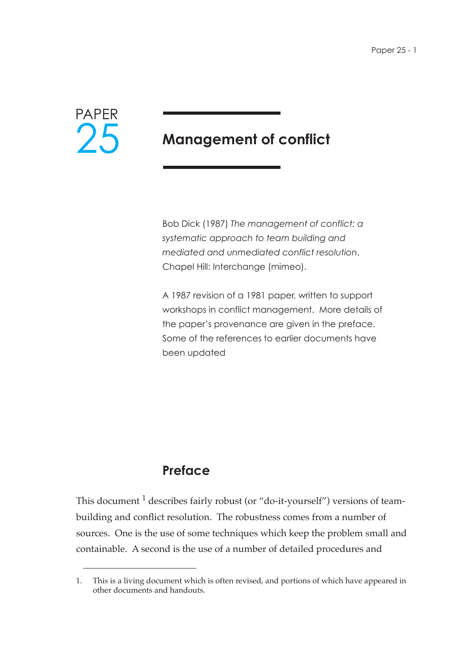

# **Management of conflict**

Bob Dick (1987) *The management of conflict: a systematic approach to team building and mediated and unmediated conflict resolution*. Chapel Hill: Interchange (mimeo).

A 1987 revision of a 1981 paper, written to support workshops in conflict management. More details of the paper's provenance are given in the preface. Some of the references to earlier documents have been updated

### **Preface**

This document  $<sup>1</sup>$  describes fairly robust (or "do-it-yourself") versions of team-</sup> building and conflict resolution. The robustness comes from a number of sources. One is the use of some techniques which keep the problem small and containable. A second is the use of a number of detailed procedures and

<sup>1.</sup> This is a living document which is often revised, and portions of which have appeared in other documents and handouts.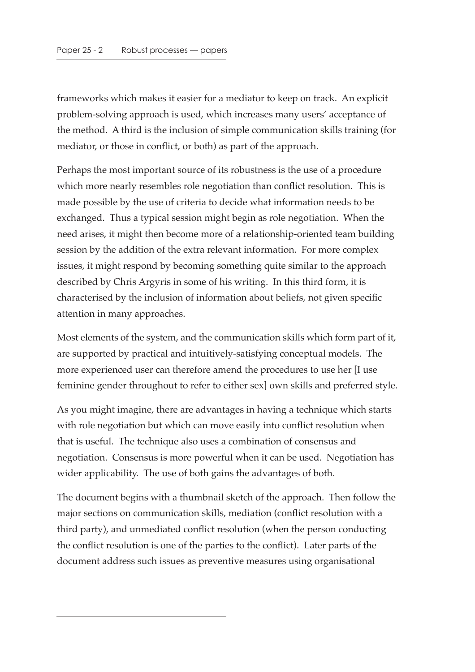frameworks which makes it easier for a mediator to keep on track. An explicit problem-solving approach is used, which increases many users' acceptance of the method. A third is the inclusion of simple communication skills training (for mediator, or those in conflict, or both) as part of the approach.

Perhaps the most important source of its robustness is the use of a procedure which more nearly resembles role negotiation than conflict resolution. This is made possible by the use of criteria to decide what information needs to be exchanged. Thus a typical session might begin as role negotiation. When the need arises, it might then become more of a relationship-oriented team building session by the addition of the extra relevant information. For more complex issues, it might respond by becoming something quite similar to the approach described by Chris Argyris in some of his writing. In this third form, it is characterised by the inclusion of information about beliefs, not given specific attention in many approaches.

Most elements of the system, and the communication skills which form part of it, are supported by practical and intuitively-satisfying conceptual models. The more experienced user can therefore amend the procedures to use her [I use feminine gender throughout to refer to either sex] own skills and preferred style.

As you might imagine, there are advantages in having a technique which starts with role negotiation but which can move easily into conflict resolution when that is useful. The technique also uses a combination of consensus and negotiation. Consensus is more powerful when it can be used. Negotiation has wider applicability. The use of both gains the advantages of both.

The document begins with a thumbnail sketch of the approach. Then follow the major sections on communication skills, mediation (conflict resolution with a third party), and unmediated conflict resolution (when the person conducting the conflict resolution is one of the parties to the conflict). Later parts of the document address such issues as preventive measures using organisational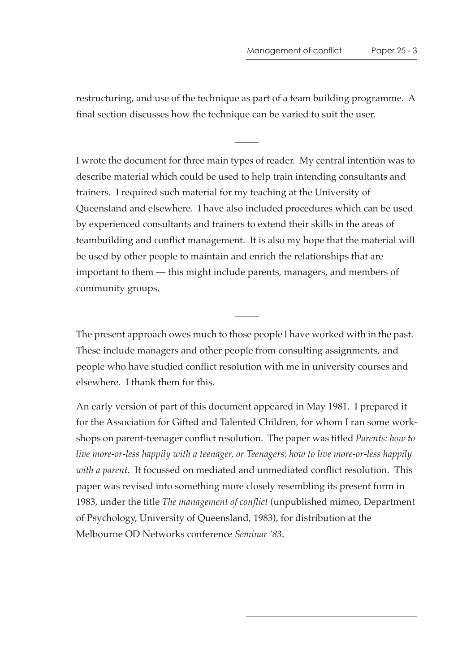restructuring, and use of the technique as part of a team building programme. A final section discusses how the technique can be varied to suit the user.

 $\overline{\phantom{a}}$ 

I wrote the document for three main types of reader. My central intention was to describe material which could be used to help train intending consultants and trainers. I required such material for my teaching at the University of Queensland and elsewhere. I have also included procedures which can be used by experienced consultants and trainers to extend their skills in the areas of teambuilding and conflict management. It is also my hope that the material will be used by other people to maintain and enrich the relationships that are important to them — this might include parents, managers, and members of community groups.

The present approach owes much to those people I have worked with in the past. These include managers and other people from consulting assignments, and people who have studied conflict resolution with me in university courses and elsewhere. I thank them for this.

 $\overline{\phantom{a}}$ 

An early version of part of this document appeared in May 1981. I prepared it for the Association for Gifted and Talented Children, for whom I ran some workshops on parent-teenager conflict resolution. The paper was titled *Parents: how to live more-or-less happily with a teenager, or Teenagers: how to live more-or-less happily with a parent*. It focussed on mediated and unmediated conflict resolution. This paper was revised into something more closely resembling its present form in 1983, under the title *The management of conflict* (unpublished mimeo, Department of Psychology, University of Queensland, 1983), for distribution at the Melbourne OD Networks conference *Seminar '83*.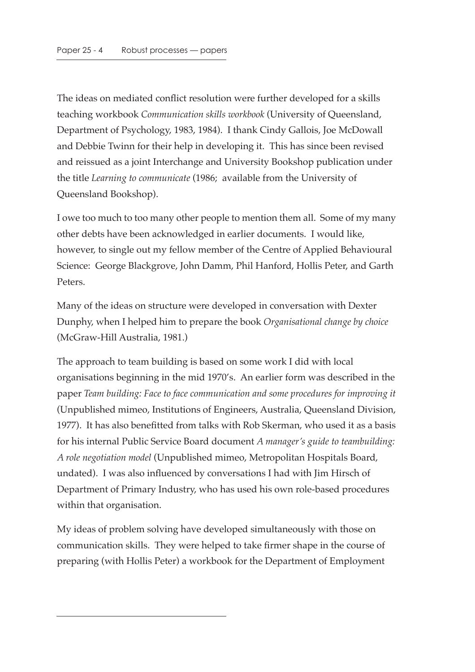The ideas on mediated conflict resolution were further developed for a skills teaching workbook *Communication skills workbook* (University of Queensland, Department of Psychology, 1983, 1984). I thank Cindy Gallois, Joe McDowall and Debbie Twinn for their help in developing it. This has since been revised and reissued as a joint Interchange and University Bookshop publication under the title *Learning to communicate* (1986; available from the University of Queensland Bookshop).

I owe too much to too many other people to mention them all. Some of my many other debts have been acknowledged in earlier documents. I would like, however, to single out my fellow member of the Centre of Applied Behavioural Science: George Blackgrove, John Damm, Phil Hanford, Hollis Peter, and Garth Peters.

Many of the ideas on structure were developed in conversation with Dexter Dunphy, when I helped him to prepare the book *Organisational change by choice* (McGraw-Hill Australia, 1981.)

The approach to team building is based on some work I did with local organisations beginning in the mid 1970's. An earlier form was described in the paper *Team building: Face to face communication and some procedures for improving it* (Unpublished mimeo, Institutions of Engineers, Australia, Queensland Division, 1977). It has also benefitted from talks with Rob Skerman, who used it as a basis for his internal Public Service Board document *A manager's guide to teambuilding: A role negotiation model* (Unpublished mimeo, Metropolitan Hospitals Board, undated). I was also influenced by conversations I had with Jim Hirsch of Department of Primary Industry, who has used his own role-based procedures within that organisation.

My ideas of problem solving have developed simultaneously with those on communication skills. They were helped to take firmer shape in the course of preparing (with Hollis Peter) a workbook for the Department of Employment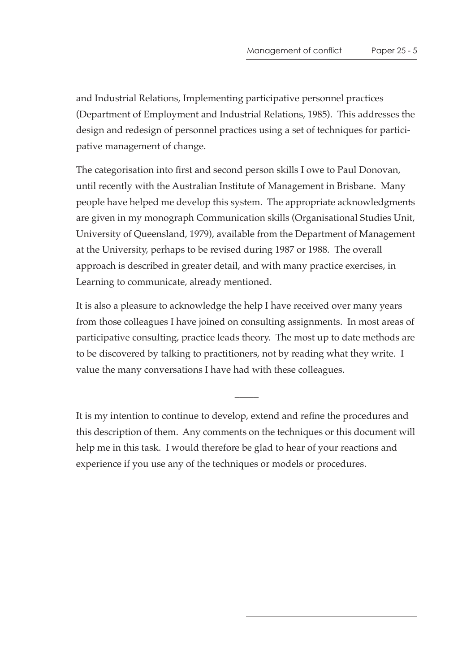and Industrial Relations, Implementing participative personnel practices (Department of Employment and Industrial Relations, 1985). This addresses the design and redesign of personnel practices using a set of techniques for participative management of change.

The categorisation into first and second person skills I owe to Paul Donovan, until recently with the Australian Institute of Management in Brisbane. Many people have helped me develop this system. The appropriate acknowledgments are given in my monograph Communication skills (Organisational Studies Unit, University of Queensland, 1979), available from the Department of Management at the University, perhaps to be revised during 1987 or 1988. The overall approach is described in greater detail, and with many practice exercises, in Learning to communicate, already mentioned.

It is also a pleasure to acknowledge the help I have received over many years from those colleagues I have joined on consulting assignments. In most areas of participative consulting, practice leads theory. The most up to date methods are to be discovered by talking to practitioners, not by reading what they write. I value the many conversations I have had with these colleagues.

It is my intention to continue to develop, extend and refine the procedures and this description of them. Any comments on the techniques or this document will help me in this task. I would therefore be glad to hear of your reactions and experience if you use any of the techniques or models or procedures.

 $\overline{\phantom{a}}$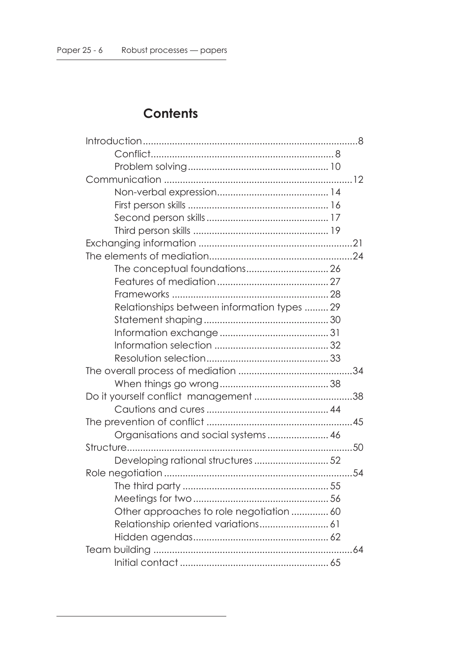## **Contents**

| Relationships between information types 29 |    |
|--------------------------------------------|----|
|                                            |    |
|                                            |    |
|                                            |    |
|                                            |    |
|                                            | 34 |
|                                            |    |
|                                            |    |
|                                            |    |
|                                            |    |
|                                            |    |
|                                            | 50 |
| Developing rational structures 52          |    |
|                                            |    |
|                                            |    |
|                                            |    |
| Other approaches to role negotiation  60   |    |
| Relationship oriented variations 61        |    |
|                                            |    |
|                                            |    |
|                                            |    |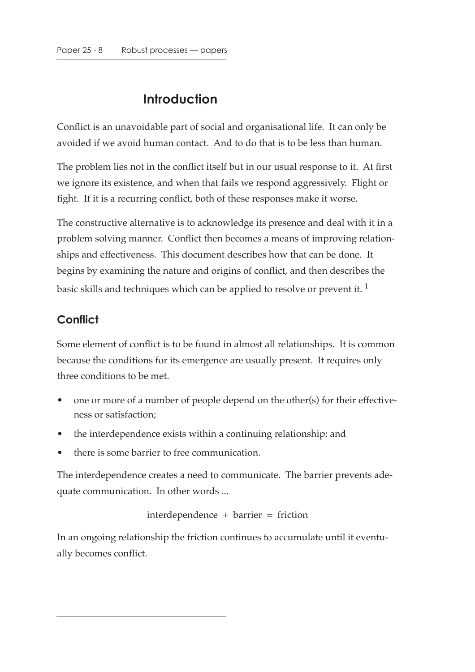## **Introduction**

Conflict is an unavoidable part of social and organisational life. It can only be avoided if we avoid human contact. And to do that is to be less than human.

The problem lies not in the conflict itself but in our usual response to it. At first we ignore its existence, and when that fails we respond aggressively. Flight or fight. If it is a recurring conflict, both of these responses make it worse.

The constructive alternative is to acknowledge its presence and deal with it in a problem solving manner. Conflict then becomes a means of improving relationships and effectiveness. This document describes how that can be done. It begins by examining the nature and origins of conflict, and then describes the basic skills and techniques which can be applied to resolve or prevent it.  $<sup>1</sup>$ </sup>

## **Conflict**

Some element of conflict is to be found in almost all relationships. It is common because the conditions for its emergence are usually present. It requires only three conditions to be met.

- one or more of a number of people depend on the other(s) for their effectiveness or satisfaction;
- the interdependence exists within a continuing relationship; and
- there is some barrier to free communication.

The interdependence creates a need to communicate. The barrier prevents adequate communication. In other words ...

interdependence + barrier = friction

In an ongoing relationship the friction continues to accumulate until it eventually becomes conflict.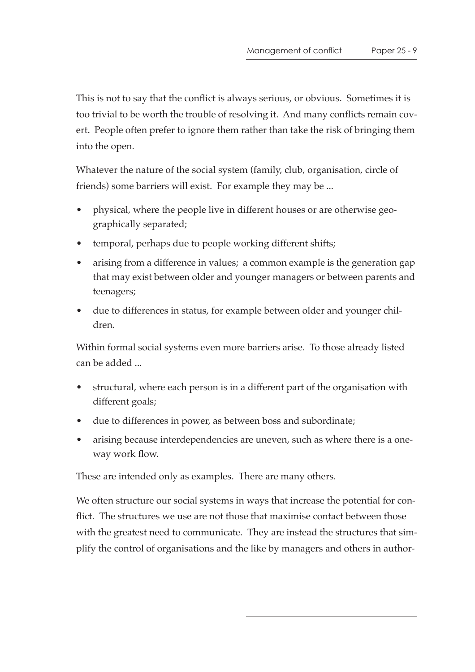This is not to say that the conflict is always serious, or obvious. Sometimes it is too trivial to be worth the trouble of resolving it. And many conflicts remain covert. People often prefer to ignore them rather than take the risk of bringing them into the open.

Whatever the nature of the social system (family, club, organisation, circle of friends) some barriers will exist. For example they may be ...

- physical, where the people live in different houses or are otherwise geographically separated;
- temporal, perhaps due to people working different shifts;
- arising from a difference in values; a common example is the generation gap that may exist between older and younger managers or between parents and teenagers;
- due to differences in status, for example between older and younger children.

Within formal social systems even more barriers arise. To those already listed can be added ...

- structural, where each person is in a different part of the organisation with different goals;
- due to differences in power, as between boss and subordinate;
- arising because interdependencies are uneven, such as where there is a oneway work flow.

These are intended only as examples. There are many others.

We often structure our social systems in ways that increase the potential for conflict. The structures we use are not those that maximise contact between those with the greatest need to communicate. They are instead the structures that simplify the control of organisations and the like by managers and others in author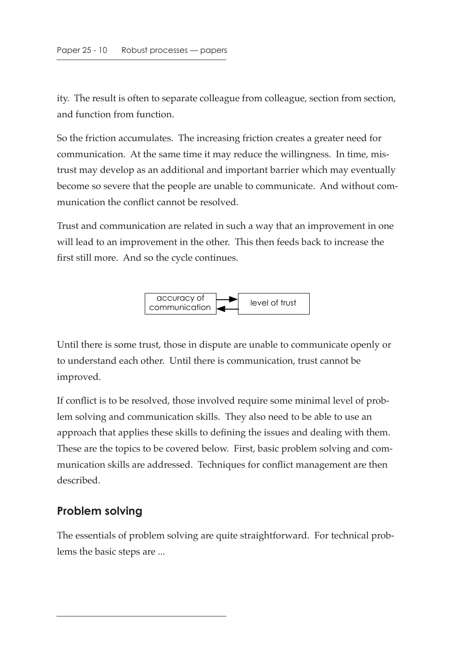ity. The result is often to separate colleague from colleague, section from section, and function from function.

So the friction accumulates. The increasing friction creates a greater need for communication. At the same time it may reduce the willingness. In time, mistrust may develop as an additional and important barrier which may eventually become so severe that the people are unable to communicate. And without communication the conflict cannot be resolved.

Trust and communication are related in such a way that an improvement in one will lead to an improvement in the other. This then feeds back to increase the first still more. And so the cycle continues.



Until there is some trust, those in dispute are unable to communicate openly or to understand each other. Until there is communication, trust cannot be improved.

If conflict is to be resolved, those involved require some minimal level of problem solving and communication skills. They also need to be able to use an approach that applies these skills to defining the issues and dealing with them. These are the topics to be covered below. First, basic problem solving and communication skills are addressed. Techniques for conflict management are then described.

#### **Problem solving**

The essentials of problem solving are quite straightforward. For technical problems the basic steps are ...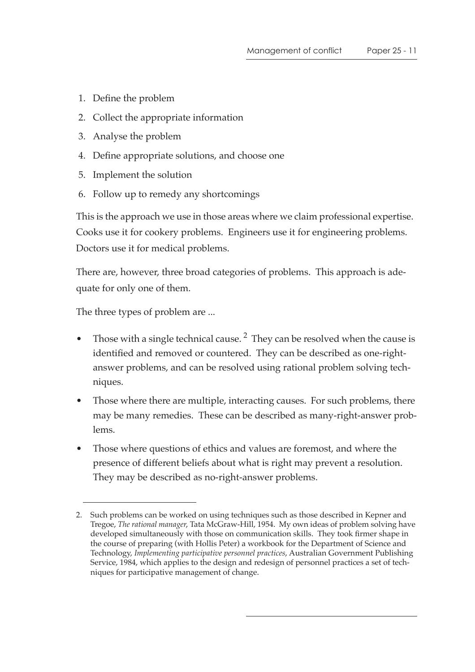- 1. Define the problem
- 2. Collect the appropriate information
- 3. Analyse the problem
- 4. Define appropriate solutions, and choose one
- 5. Implement the solution
- 6. Follow up to remedy any shortcomings

This is the approach we use in those areas where we claim professional expertise. Cooks use it for cookery problems. Engineers use it for engineering problems. Doctors use it for medical problems.

There are, however, three broad categories of problems. This approach is adequate for only one of them.

The three types of problem are ...

- Those with a single technical cause.<sup>2</sup> They can be resolved when the cause is identified and removed or countered. They can be described as one-rightanswer problems, and can be resolved using rational problem solving techniques.
- Those where there are multiple, interacting causes. For such problems, there may be many remedies. These can be described as many-right-answer problems.
- Those where questions of ethics and values are foremost, and where the presence of different beliefs about what is right may prevent a resolution. They may be described as no-right-answer problems.

<sup>2.</sup> Such problems can be worked on using techniques such as those described in Kepner and Tregoe, *The rational manager*, Tata McGraw-Hill, 1954. My own ideas of problem solving have developed simultaneously with those on communication skills. They took firmer shape in the course of preparing (with Hollis Peter) a workbook for the Department of Science and Technology, *Implementing participative personnel practices*, Australian Government Publishing Service, 1984, which applies to the design and redesign of personnel practices a set of techniques for participative management of change.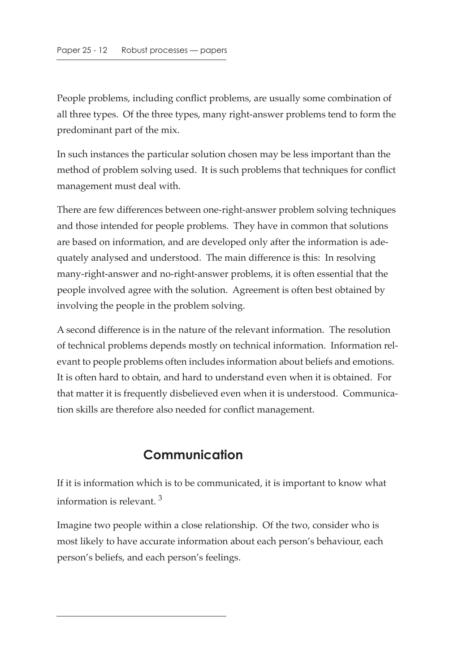People problems, including conflict problems, are usually some combination of all three types. Of the three types, many right-answer problems tend to form the predominant part of the mix.

In such instances the particular solution chosen may be less important than the method of problem solving used. It is such problems that techniques for conflict management must deal with.

There are few differences between one-right-answer problem solving techniques and those intended for people problems. They have in common that solutions are based on information, and are developed only after the information is adequately analysed and understood. The main difference is this: In resolving many-right-answer and no-right-answer problems, it is often essential that the people involved agree with the solution. Agreement is often best obtained by involving the people in the problem solving.

A second difference is in the nature of the relevant information. The resolution of technical problems depends mostly on technical information. Information relevant to people problems often includes information about beliefs and emotions. It is often hard to obtain, and hard to understand even when it is obtained. For that matter it is frequently disbelieved even when it is understood. Communication skills are therefore also needed for conflict management.

## **Communication**

If it is information which is to be communicated, it is important to know what information is relevant. 3

Imagine two people within a close relationship. Of the two, consider who is most likely to have accurate information about each person's behaviour, each person's beliefs, and each person's feelings.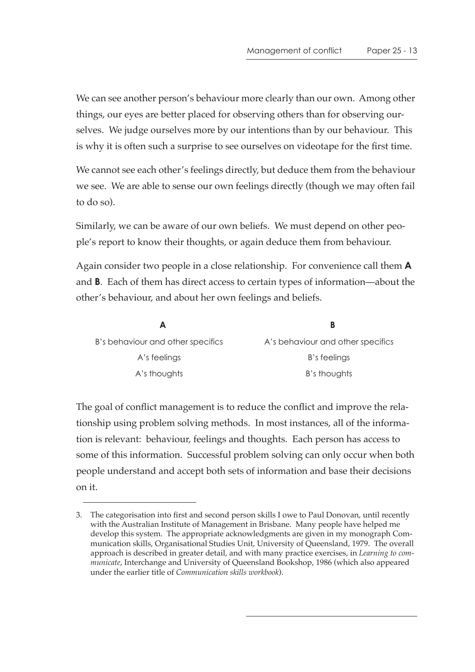We can see another person's behaviour more clearly than our own. Among other things, our eyes are better placed for observing others than for observing ourselves. We judge ourselves more by our intentions than by our behaviour. This is why it is often such a surprise to see ourselves on videotape for the first time.

We cannot see each other's feelings directly, but deduce them from the behaviour we see. We are able to sense our own feelings directly (though we may often fail to do so).

Similarly, we can be aware of our own beliefs. We must depend on other people's report to know their thoughts, or again deduce them from behaviour.

Again consider two people in a close relationship. For convenience call them **A** and **B**. Each of them has direct access to certain types of information—about the other's behaviour, and about her own feelings and beliefs.

| B's behaviour and other specifics | A's behaviour and other specifics |
|-----------------------------------|-----------------------------------|
| A's feelings                      | B's feelings                      |
| A's thoughts                      | B's thoughts                      |

The goal of conflict management is to reduce the conflict and improve the relationship using problem solving methods. In most instances, all of the information is relevant: behaviour, feelings and thoughts. Each person has access to some of this information. Successful problem solving can only occur when both people understand and accept both sets of information and base their decisions on it.

<sup>3.</sup> The categorisation into first and second person skills I owe to Paul Donovan, until recently with the Australian Institute of Management in Brisbane. Many people have helped me develop this system. The appropriate acknowledgments are given in my monograph Communication skills, Organisational Studies Unit, University of Queensland, 1979. The overall approach is described in greater detail, and with many practice exercises, in *Learning to communicate*, Interchange and University of Queensland Bookshop, 1986 (which also appeared under the earlier title of *Communication skills workbook*).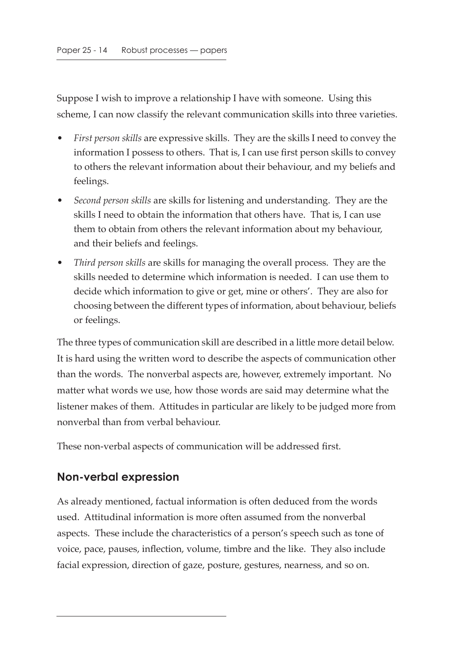Suppose I wish to improve a relationship I have with someone. Using this scheme, I can now classify the relevant communication skills into three varieties.

- *First person skills* are expressive skills. They are the skills I need to convey the information I possess to others. That is, I can use first person skills to convey to others the relevant information about their behaviour, and my beliefs and feelings.
- *Second person skills* are skills for listening and understanding. They are the skills I need to obtain the information that others have. That is, I can use them to obtain from others the relevant information about my behaviour, and their beliefs and feelings.
- *Third person skills* are skills for managing the overall process. They are the skills needed to determine which information is needed. I can use them to decide which information to give or get, mine or others'. They are also for choosing between the different types of information, about behaviour, beliefs or feelings.

The three types of communication skill are described in a little more detail below. It is hard using the written word to describe the aspects of communication other than the words. The nonverbal aspects are, however, extremely important. No matter what words we use, how those words are said may determine what the listener makes of them. Attitudes in particular are likely to be judged more from nonverbal than from verbal behaviour.

These non-verbal aspects of communication will be addressed first.

#### **Non-verbal expression**

As already mentioned, factual information is often deduced from the words used. Attitudinal information is more often assumed from the nonverbal aspects. These include the characteristics of a person's speech such as tone of voice, pace, pauses, inflection, volume, timbre and the like. They also include facial expression, direction of gaze, posture, gestures, nearness, and so on.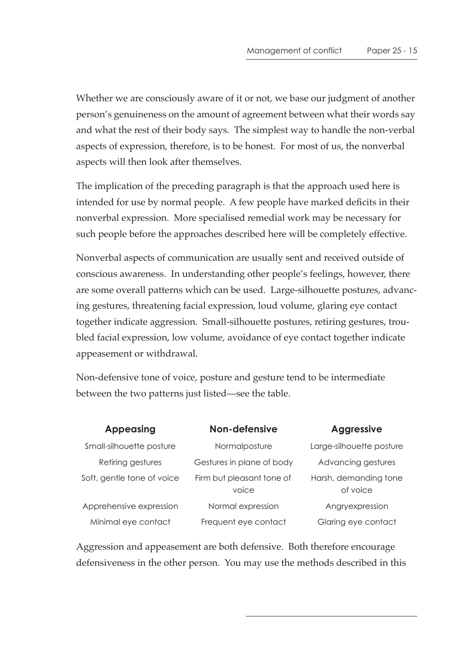Whether we are consciously aware of it or not, we base our judgment of another person's genuineness on the amount of agreement between what their words say and what the rest of their body says. The simplest way to handle the non-verbal aspects of expression, therefore, is to be honest. For most of us, the nonverbal aspects will then look after themselves.

The implication of the preceding paragraph is that the approach used here is intended for use by normal people. A few people have marked deficits in their nonverbal expression. More specialised remedial work may be necessary for such people before the approaches described here will be completely effective.

Nonverbal aspects of communication are usually sent and received outside of conscious awareness. In understanding other people's feelings, however, there are some overall patterns which can be used. Large-silhouette postures, advancing gestures, threatening facial expression, loud volume, glaring eye contact together indicate aggression. Small-silhouette postures, retiring gestures, troubled facial expression, low volume, avoidance of eye contact together indicate appeasement or withdrawal.

Non-defensive tone of voice, posture and gesture tend to be intermediate between the two patterns just listed—see the table.

| <b>Appeasing</b>           | Non-defensive                      | <b>Aggressive</b>                 |
|----------------------------|------------------------------------|-----------------------------------|
| Small-silhouette posture   | Normalposture                      | Large-silhouette posture          |
| Retiring gestures          | Gestures in plane of body          | Advancing gestures                |
| Soft, gentle tone of voice | Firm but pleasant tone of<br>voice | Harsh, demanding tone<br>of voice |
| Apprehensive expression    | Normal expression                  | Angryexpression                   |
| Minimal eye contact        | Frequent eye contact               | Glaring eye contact               |

Aggression and appeasement are both defensive. Both therefore encourage defensiveness in the other person. You may use the methods described in this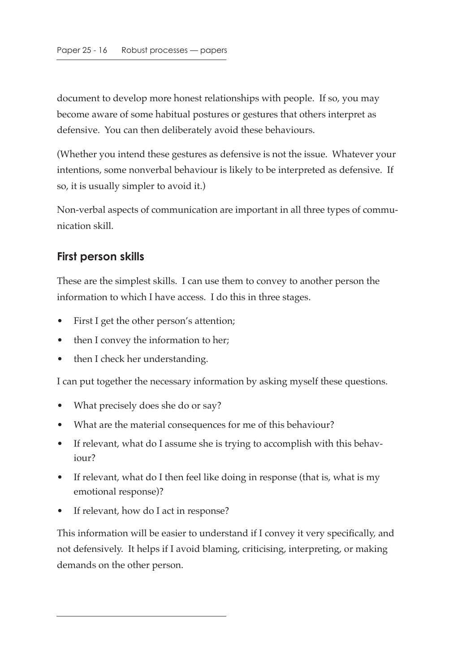document to develop more honest relationships with people. If so, you may become aware of some habitual postures or gestures that others interpret as defensive. You can then deliberately avoid these behaviours.

(Whether you intend these gestures as defensive is not the issue. Whatever your intentions, some nonverbal behaviour is likely to be interpreted as defensive. If so, it is usually simpler to avoid it.)

Non-verbal aspects of communication are important in all three types of communication skill.

#### **First person skills**

These are the simplest skills. I can use them to convey to another person the information to which I have access. I do this in three stages.

- First I get the other person's attention;
- then I convey the information to her;
- then I check her understanding.

I can put together the necessary information by asking myself these questions.

- What precisely does she do or say?
- What are the material consequences for me of this behaviour?
- If relevant, what do I assume she is trying to accomplish with this behaviour?
- If relevant, what do I then feel like doing in response (that is, what is my emotional response)?
- If relevant, how do I act in response?

This information will be easier to understand if I convey it very specifically, and not defensively. It helps if I avoid blaming, criticising, interpreting, or making demands on the other person.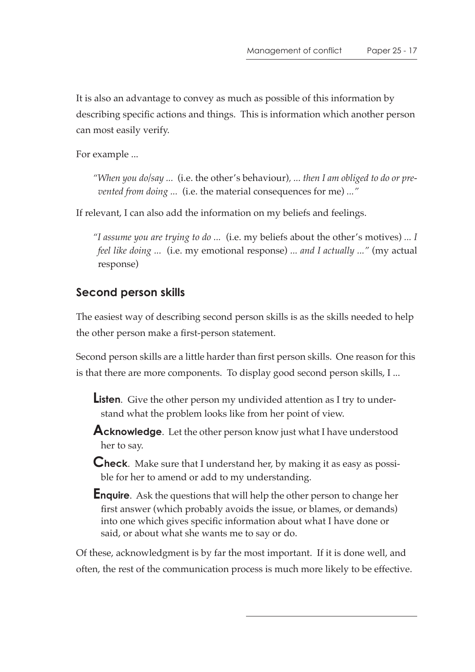It is also an advantage to convey as much as possible of this information by describing specific actions and things. This is information which another person can most easily verify.

For example ...

*"When you do/say ...* (i.e. the other's behaviour)*, ... then I am obliged to do or prevented from doing ...* (i.e. the material consequences for me) *..."*

If relevant, I can also add the information on my beliefs and feelings.

*"I assume you are trying to do ...* (i.e. my beliefs about the other's motives) *... I feel like doing ...* (i.e. my emotional response) *... and I actually ..."* (my actual response)

### **Second person skills**

The easiest way of describing second person skills is as the skills needed to help the other person make a first-person statement.

Second person skills are a little harder than first person skills. One reason for this is that there are more components. To display good second person skills, I ...

**Listen**. Give the other person my undivided attention as I try to understand what the problem looks like from her point of view.

**Acknowledge**. Let the other person know just what I have understood her to say.

**Check**. Make sure that I understand her, by making it as easy as possible for her to amend or add to my understanding.

**Enquire**. Ask the questions that will help the other person to change her first answer (which probably avoids the issue, or blames, or demands) into one which gives specific information about what I have done or said, or about what she wants me to say or do.

Of these, acknowledgment is by far the most important. If it is done well, and often, the rest of the communication process is much more likely to be effective.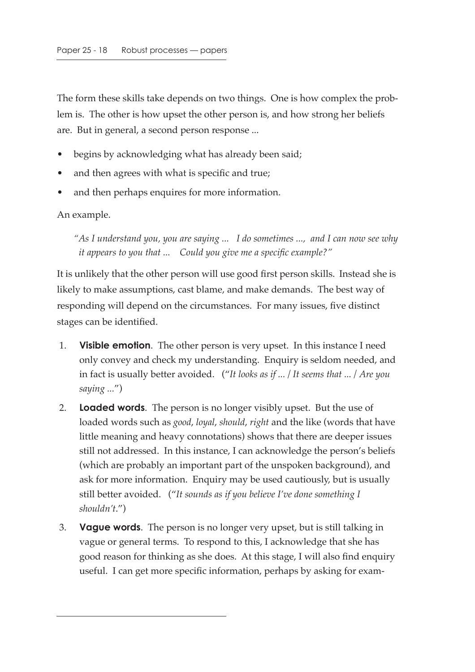The form these skills take depends on two things. One is how complex the problem is. The other is how upset the other person is, and how strong her beliefs are. But in general, a second person response ...

- begins by acknowledging what has already been said;
- and then agrees with what is specific and true;
- and then perhaps enquires for more information.

An example.

*"As I understand you, you are saying ... I do sometimes ..., and I can now see why it appears to you that ... Could you give me a specific example?"*

It is unlikely that the other person will use good first person skills. Instead she is likely to make assumptions, cast blame, and make demands. The best way of responding will depend on the circumstances. For many issues, five distinct stages can be identified.

- 1. **Visible emotion**. The other person is very upset. In this instance I need only convey and check my understanding. Enquiry is seldom needed, and in fact is usually better avoided. ("*It looks as if ... / It seems that ... / Are you saying ...*")
- 2. **Loaded words**. The person is no longer visibly upset. But the use of loaded words such as *good*, *loyal*, *should*, *right* and the like (words that have little meaning and heavy connotations) shows that there are deeper issues still not addressed. In this instance, I can acknowledge the person's beliefs (which are probably an important part of the unspoken background), and ask for more information. Enquiry may be used cautiously, but is usually still better avoided. ("*It sounds as if you believe I've done something I shouldn't*.")
- 3. **Vague words**. The person is no longer very upset, but is still talking in vague or general terms. To respond to this, I acknowledge that she has good reason for thinking as she does. At this stage, I will also find enquiry useful. I can get more specific information, perhaps by asking for exam-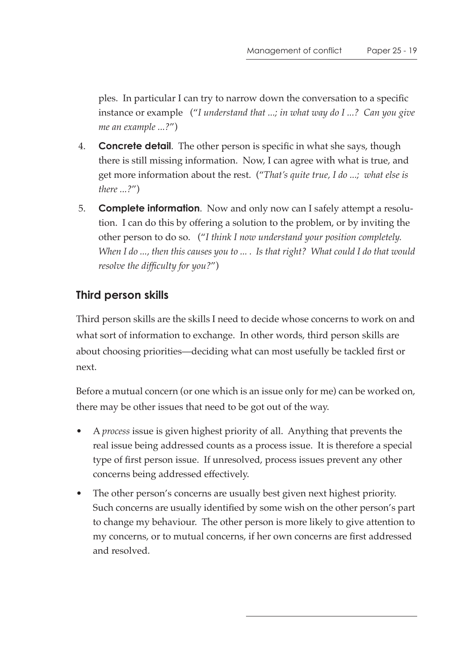ples. In particular I can try to narrow down the conversation to a specific instance or example ("*I understand that ...; in what way do I ...? Can you give me an example ...?*")

- 4. **Concrete detail**. The other person is specific in what she says, though there is still missing information. Now, I can agree with what is true, and get more information about the rest. ("*That's quite true, I do ...; what else is there ...?*")
- 5. **Complete information**. Now and only now can I safely attempt a resolution. I can do this by offering a solution to the problem, or by inviting the other person to do so. ("*I think I now understand your position completely. When I do ..., then this causes you to ... . Is that right? What could I do that would resolve the difficulty for you?*")

### **Third person skills**

Third person skills are the skills I need to decide whose concerns to work on and what sort of information to exchange. In other words, third person skills are about choosing priorities—deciding what can most usefully be tackled first or next.

Before a mutual concern (or one which is an issue only for me) can be worked on, there may be other issues that need to be got out of the way.

- A *process* issue is given highest priority of all. Anything that prevents the real issue being addressed counts as a process issue. It is therefore a special type of first person issue. If unresolved, process issues prevent any other concerns being addressed effectively.
- The other person's concerns are usually best given next highest priority. Such concerns are usually identified by some wish on the other person's part to change my behaviour. The other person is more likely to give attention to my concerns, or to mutual concerns, if her own concerns are first addressed and resolved.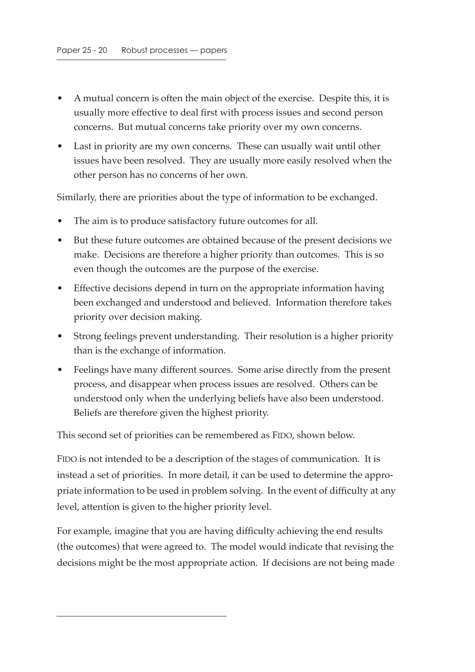- A mutual concern is often the main object of the exercise. Despite this, it is usually more effective to deal first with process issues and second person concerns. But mutual concerns take priority over my own concerns.
- Last in priority are my own concerns. These can usually wait until other issues have been resolved. They are usually more easily resolved when the other person has no concerns of her own.

Similarly, there are priorities about the type of information to be exchanged.

- The aim is to produce satisfactory future outcomes for all.
- But these future outcomes are obtained because of the present decisions we make. Decisions are therefore a higher priority than outcomes. This is so even though the outcomes are the purpose of the exercise.
- Effective decisions depend in turn on the appropriate information having been exchanged and understood and believed. Information therefore takes priority over decision making.
- Strong feelings prevent understanding. Their resolution is a higher priority than is the exchange of information.
- Feelings have many different sources. Some arise directly from the present process, and disappear when process issues are resolved. Others can be understood only when the underlying beliefs have also been understood. Beliefs are therefore given the highest priority.

This second set of priorities can be remembered as FIDO, shown below.

FIDO is not intended to be a description of the stages of communication. It is instead a set of priorities. In more detail, it can be used to determine the appropriate information to be used in problem solving. In the event of difficulty at any level, attention is given to the higher priority level.

For example, imagine that you are having difficulty achieving the end results (the outcomes) that were agreed to. The model would indicate that revising the decisions might be the most appropriate action. If decisions are not being made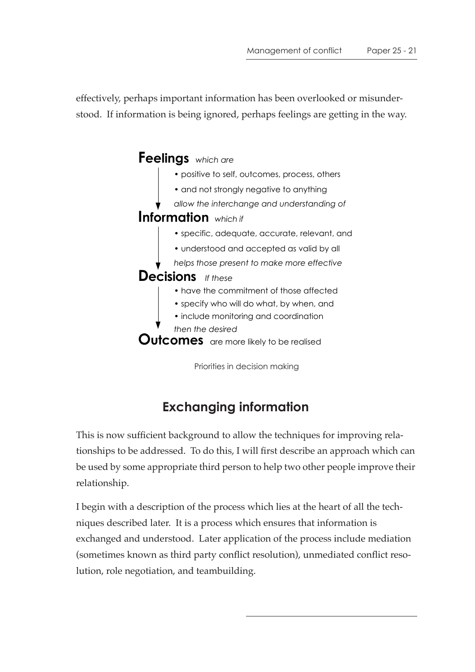effectively, perhaps important information has been overlooked or misunderstood. If information is being ignored, perhaps feelings are getting in the way.



# **Exchanging information**

This is now sufficient background to allow the techniques for improving relationships to be addressed. To do this, I will first describe an approach which can be used by some appropriate third person to help two other people improve their relationship.

I begin with a description of the process which lies at the heart of all the techniques described later. It is a process which ensures that information is exchanged and understood. Later application of the process include mediation (sometimes known as third party conflict resolution), unmediated conflict resolution, role negotiation, and teambuilding.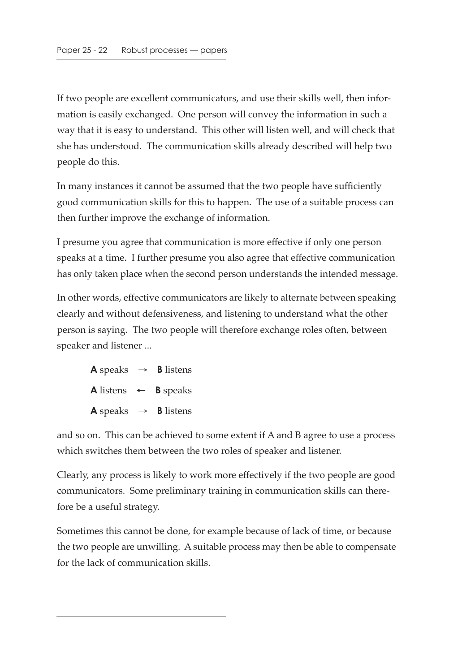If two people are excellent communicators, and use their skills well, then information is easily exchanged. One person will convey the information in such a way that it is easy to understand. This other will listen well, and will check that she has understood. The communication skills already described will help two people do this.

In many instances it cannot be assumed that the two people have sufficiently good communication skills for this to happen. The use of a suitable process can then further improve the exchange of information.

I presume you agree that communication is more effective if only one person speaks at a time. I further presume you also agree that effective communication has only taken place when the second person understands the intended message.

In other words, effective communicators are likely to alternate between speaking clearly and without defensiveness, and listening to understand what the other person is saying. The two people will therefore exchange roles often, between speaker and listener ...

**A** speaks  $\rightarrow$  **B** listens  $\mathsf{A}$  listens  $\leftarrow$  **B** speaks **A** speaks  $\rightarrow$  **B** listens

and so on. This can be achieved to some extent if A and B agree to use a process which switches them between the two roles of speaker and listener.

Clearly, any process is likely to work more effectively if the two people are good communicators. Some preliminary training in communication skills can therefore be a useful strategy.

Sometimes this cannot be done, for example because of lack of time, or because the two people are unwilling. A suitable process may then be able to compensate for the lack of communication skills.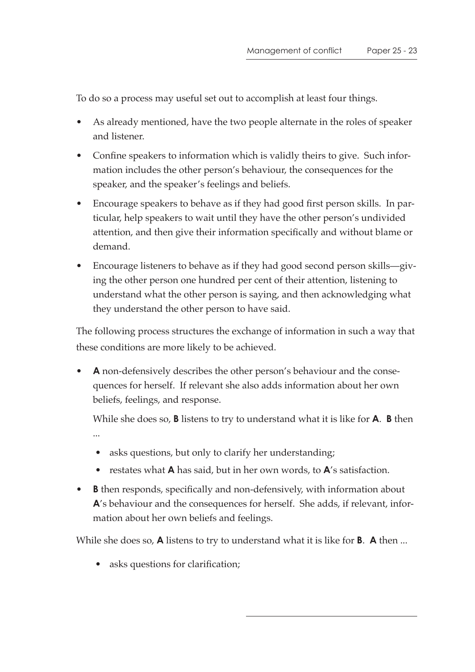To do so a process may useful set out to accomplish at least four things.

- As already mentioned, have the two people alternate in the roles of speaker and listener.
- Confine speakers to information which is validly theirs to give. Such information includes the other person's behaviour, the consequences for the speaker, and the speaker's feelings and beliefs.
- Encourage speakers to behave as if they had good first person skills. In particular, help speakers to wait until they have the other person's undivided attention, and then give their information specifically and without blame or demand.
- Encourage listeners to behave as if they had good second person skills—giving the other person one hundred per cent of their attention, listening to understand what the other person is saying, and then acknowledging what they understand the other person to have said.

The following process structures the exchange of information in such a way that these conditions are more likely to be achieved.

• **A** non-defensively describes the other person's behaviour and the consequences for herself. If relevant she also adds information about her own beliefs, feelings, and response.

While she does so, **B** listens to try to understand what it is like for **A**. **B** then ...

- asks questions, but only to clarify her understanding;
- restates what **A** has said, but in her own words, to **A**'s satisfaction.
- **B** then responds, specifically and non-defensively, with information about **A**'s behaviour and the consequences for herself. She adds, if relevant, information about her own beliefs and feelings.

While she does so, **A** listens to try to understand what it is like for **B**. **A** then ...

• asks questions for clarification;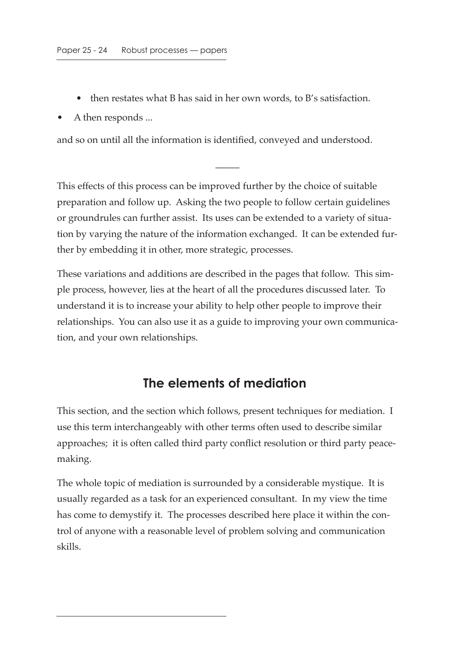- then restates what B has said in her own words, to B's satisfaction.
- A then responds ...

and so on until all the information is identified, conveyed and understood.

This effects of this process can be improved further by the choice of suitable preparation and follow up. Asking the two people to follow certain guidelines or groundrules can further assist. Its uses can be extended to a variety of situation by varying the nature of the information exchanged. It can be extended further by embedding it in other, more strategic, processes.

 $\overline{\phantom{a}}$ 

These variations and additions are described in the pages that follow. This simple process, however, lies at the heart of all the procedures discussed later. To understand it is to increase your ability to help other people to improve their relationships. You can also use it as a guide to improving your own communication, and your own relationships.

### **The elements of mediation**

This section, and the section which follows, present techniques for mediation. I use this term interchangeably with other terms often used to describe similar approaches; it is often called third party conflict resolution or third party peacemaking.

The whole topic of mediation is surrounded by a considerable mystique. It is usually regarded as a task for an experienced consultant. In my view the time has come to demystify it. The processes described here place it within the control of anyone with a reasonable level of problem solving and communication skills.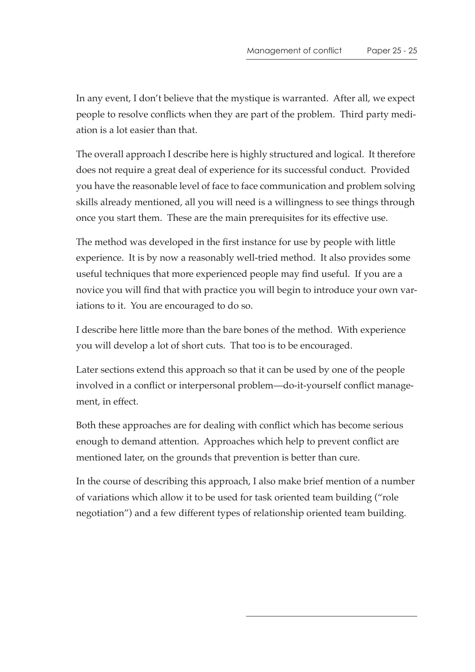In any event, I don't believe that the mystique is warranted. After all, we expect people to resolve conflicts when they are part of the problem. Third party mediation is a lot easier than that.

The overall approach I describe here is highly structured and logical. It therefore does not require a great deal of experience for its successful conduct. Provided you have the reasonable level of face to face communication and problem solving skills already mentioned, all you will need is a willingness to see things through once you start them. These are the main prerequisites for its effective use.

The method was developed in the first instance for use by people with little experience. It is by now a reasonably well-tried method. It also provides some useful techniques that more experienced people may find useful. If you are a novice you will find that with practice you will begin to introduce your own variations to it. You are encouraged to do so.

I describe here little more than the bare bones of the method. With experience you will develop a lot of short cuts. That too is to be encouraged.

Later sections extend this approach so that it can be used by one of the people involved in a conflict or interpersonal problem—do-it-yourself conflict management, in effect.

Both these approaches are for dealing with conflict which has become serious enough to demand attention. Approaches which help to prevent conflict are mentioned later, on the grounds that prevention is better than cure.

In the course of describing this approach, I also make brief mention of a number of variations which allow it to be used for task oriented team building ("role negotiation") and a few different types of relationship oriented team building.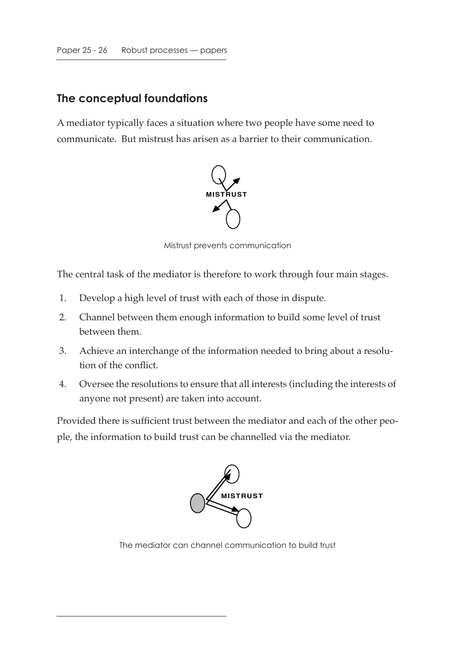#### **The conceptual foundations**

A mediator typically faces a situation where two people have some need to communicate. But mistrust has arisen as a barrier to their communication.



Mistrust prevents communication

The central task of the mediator is therefore to work through four main stages.

- 1. Develop a high level of trust with each of those in dispute.
- 2. Channel between them enough information to build some level of trust between them.
- 3. Achieve an interchange of the information needed to bring about a resolution of the conflict.
- 4. Oversee the resolutions to ensure that all interests (including the interests of anyone not present) are taken into account.

Provided there is sufficient trust between the mediator and each of the other people, the information to build trust can be channelled via the mediator.



The mediator can channel communication to build trust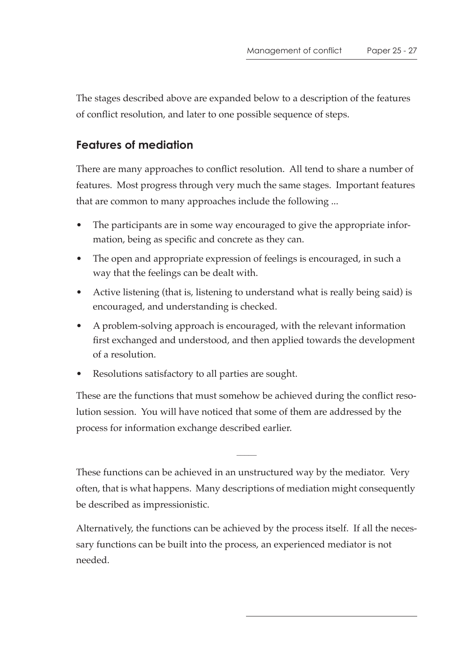The stages described above are expanded below to a description of the features of conflict resolution, and later to one possible sequence of steps.

### **Features of mediation**

There are many approaches to conflict resolution. All tend to share a number of features. Most progress through very much the same stages. Important features that are common to many approaches include the following ...

- The participants are in some way encouraged to give the appropriate information, being as specific and concrete as they can.
- The open and appropriate expression of feelings is encouraged, in such a way that the feelings can be dealt with.
- Active listening (that is, listening to understand what is really being said) is encouraged, and understanding is checked.
- A problem-solving approach is encouraged, with the relevant information first exchanged and understood, and then applied towards the development of a resolution.
- Resolutions satisfactory to all parties are sought.

These are the functions that must somehow be achieved during the conflict resolution session. You will have noticed that some of them are addressed by the process for information exchange described earlier.

These functions can be achieved in an unstructured way by the mediator. Very often, that is what happens. Many descriptions of mediation might consequently be described as impressionistic.

Alternatively, the functions can be achieved by the process itself. If all the necessary functions can be built into the process, an experienced mediator is not needed.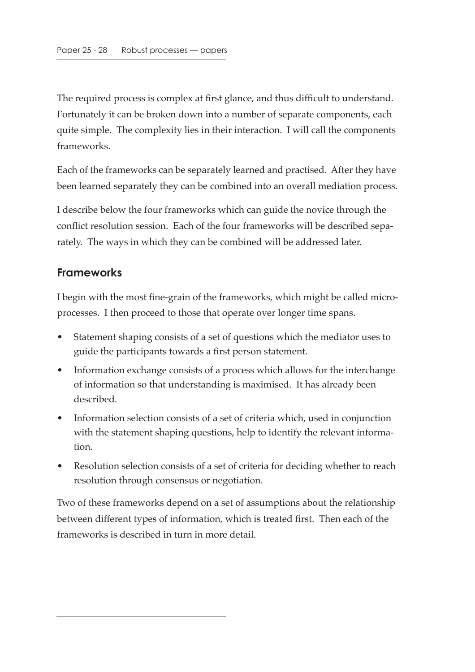The required process is complex at first glance, and thus difficult to understand. Fortunately it can be broken down into a number of separate components, each quite simple. The complexity lies in their interaction. I will call the components frameworks.

Each of the frameworks can be separately learned and practised. After they have been learned separately they can be combined into an overall mediation process.

I describe below the four frameworks which can guide the novice through the conflict resolution session. Each of the four frameworks will be described separately. The ways in which they can be combined will be addressed later.

#### **Frameworks**

I begin with the most fine-grain of the frameworks, which might be called microprocesses. I then proceed to those that operate over longer time spans.

- Statement shaping consists of a set of questions which the mediator uses to guide the participants towards a first person statement.
- Information exchange consists of a process which allows for the interchange of information so that understanding is maximised. It has already been described.
- Information selection consists of a set of criteria which, used in conjunction with the statement shaping questions, help to identify the relevant information.
- Resolution selection consists of a set of criteria for deciding whether to reach resolution through consensus or negotiation.

Two of these frameworks depend on a set of assumptions about the relationship between different types of information, which is treated first. Then each of the frameworks is described in turn in more detail.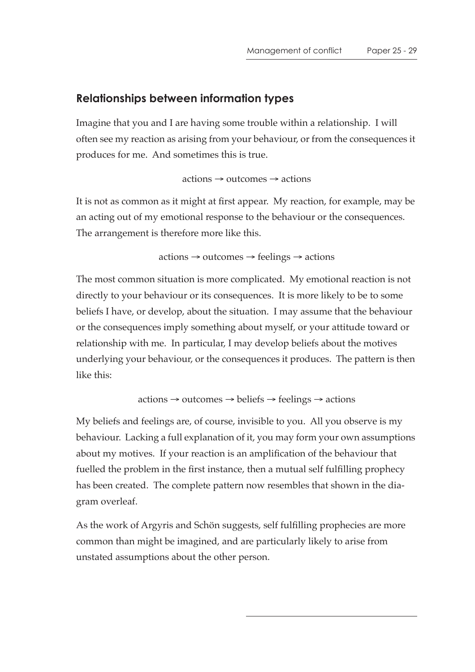#### **Relationships between information types**

Imagine that you and I are having some trouble within a relationship. I will often see my reaction as arising from your behaviour, or from the consequences it produces for me. And sometimes this is true.

actions → outcomes → actions

It is not as common as it might at first appear. My reaction, for example, may be an acting out of my emotional response to the behaviour or the consequences. The arrangement is therefore more like this.

actions → outcomes → feelings → actions

The most common situation is more complicated. My emotional reaction is not directly to your behaviour or its consequences. It is more likely to be to some beliefs I have, or develop, about the situation. I may assume that the behaviour or the consequences imply something about myself, or your attitude toward or relationship with me. In particular, I may develop beliefs about the motives underlying your behaviour, or the consequences it produces. The pattern is then like this:

 $actions \rightarrow outcomes \rightarrow beliefs \rightarrow feelings \rightarrow actions$ 

My beliefs and feelings are, of course, invisible to you. All you observe is my behaviour. Lacking a full explanation of it, you may form your own assumptions about my motives. If your reaction is an amplification of the behaviour that fuelled the problem in the first instance, then a mutual self fulfilling prophecy has been created. The complete pattern now resembles that shown in the diagram overleaf.

As the work of Argyris and Schön suggests, self fulfilling prophecies are more common than might be imagined, and are particularly likely to arise from unstated assumptions about the other person.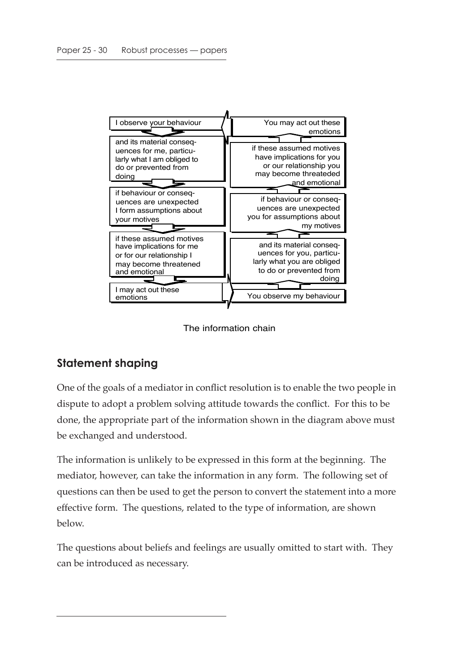

The information chain

### **Statement shaping**

One of the goals of a mediator in conflict resolution is to enable the two people in dispute to adopt a problem solving attitude towards the conflict. For this to be done, the appropriate part of the information shown in the diagram above must be exchanged and understood.

The information is unlikely to be expressed in this form at the beginning. The mediator, however, can take the information in any form. The following set of questions can then be used to get the person to convert the statement into a more effective form. The questions, related to the type of information, are shown below.

The questions about beliefs and feelings are usually omitted to start with. They can be introduced as necessary.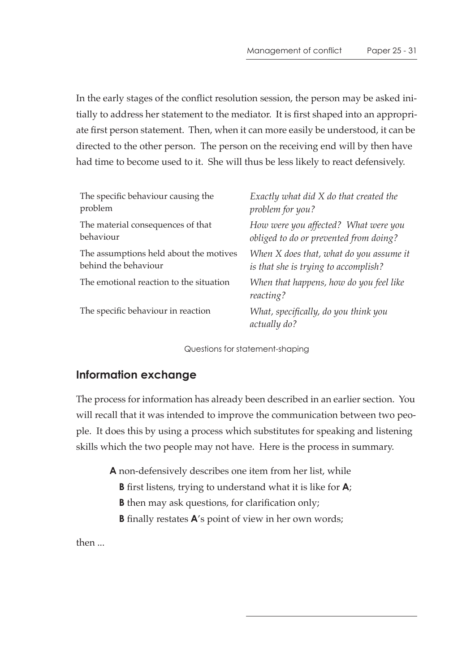In the early stages of the conflict resolution session, the person may be asked initially to address her statement to the mediator. It is first shaped into an appropriate first person statement. Then, when it can more easily be understood, it can be directed to the other person. The person on the receiving end will by then have had time to become used to it. She will thus be less likely to react defensively.

| The specific behaviour causing the      | Exactly what did X do that created the               |
|-----------------------------------------|------------------------------------------------------|
| problem                                 | problem for you?                                     |
| The material consequences of that       | How were you affected? What were you                 |
| behaviour                               | obliged to do or prevented from doing?               |
| The assumptions held about the motives  | When X does that, what do you assume it              |
| behind the behaviour                    | is that she is trying to accomplish?                 |
| The emotional reaction to the situation | When that happens, how do you feel like<br>reacting? |
| The specific behaviour in reaction      | What, specifically, do you think you<br>actually do? |

Questions for statement-shaping

#### **Information exchange**

The process for information has already been described in an earlier section. You will recall that it was intended to improve the communication between two people. It does this by using a process which substitutes for speaking and listening skills which the two people may not have. Here is the process in summary.

**A** non-defensively describes one item from her list, while

- **B** first listens, trying to understand what it is like for **A**;
- **B** then may ask questions, for clarification only;
- **B** finally restates **A**'s point of view in her own words;

then ...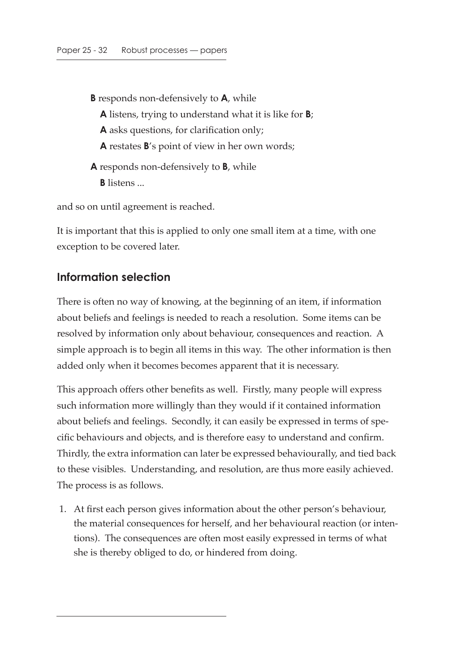- **B** responds non-defensively to **A**, while
	- **A** listens, trying to understand what it is like for **B**;
	- **A** asks questions, for clarification only;
	- **A** restates **B**'s point of view in her own words;
- **A** responds non-defensively to **B**, while **B** listens ...

and so on until agreement is reached.

It is important that this is applied to only one small item at a time, with one exception to be covered later.

#### **Information selection**

There is often no way of knowing, at the beginning of an item, if information about beliefs and feelings is needed to reach a resolution. Some items can be resolved by information only about behaviour, consequences and reaction. A simple approach is to begin all items in this way. The other information is then added only when it becomes becomes apparent that it is necessary.

This approach offers other benefits as well. Firstly, many people will express such information more willingly than they would if it contained information about beliefs and feelings. Secondly, it can easily be expressed in terms of specific behaviours and objects, and is therefore easy to understand and confirm. Thirdly, the extra information can later be expressed behaviourally, and tied back to these visibles. Understanding, and resolution, are thus more easily achieved. The process is as follows.

 1. At first each person gives information about the other person's behaviour, the material consequences for herself, and her behavioural reaction (or intentions). The consequences are often most easily expressed in terms of what she is thereby obliged to do, or hindered from doing.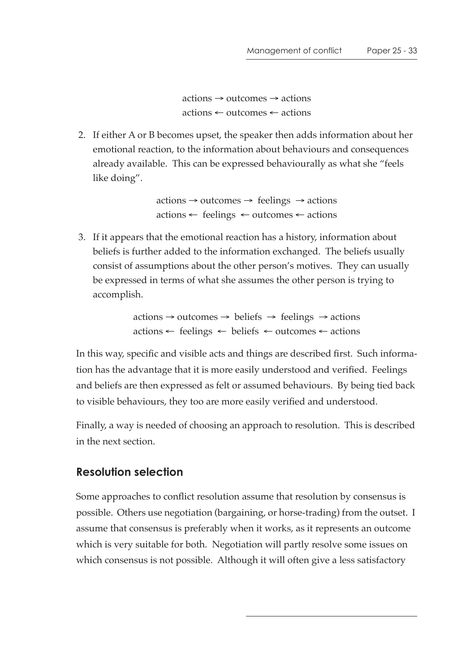$actions \rightarrow outcomes \rightarrow actions$ actions ← outcomes ← actions

 2. If either A or B becomes upset, the speaker then adds information about her emotional reaction, to the information about behaviours and consequences already available. This can be expressed behaviourally as what she "feels like doing".

> $actions \rightarrow outcomes \rightarrow feelings \rightarrow actions$  $actions \leftarrow feelings \leftarrow outcomes \leftarrow actions$

 3. If it appears that the emotional reaction has a history, information about beliefs is further added to the information exchanged. The beliefs usually consist of assumptions about the other person's motives. They can usually be expressed in terms of what she assumes the other person is trying to accomplish.

> $actions \rightarrow outcomes \rightarrow beliefs \rightarrow feelings \rightarrow actions$ actions ← feelings ← beliefs ← outcomes ← actions

In this way, specific and visible acts and things are described first. Such information has the advantage that it is more easily understood and verified. Feelings and beliefs are then expressed as felt or assumed behaviours. By being tied back to visible behaviours, they too are more easily verified and understood.

Finally, a way is needed of choosing an approach to resolution. This is described in the next section.

#### **Resolution selection**

Some approaches to conflict resolution assume that resolution by consensus is possible. Others use negotiation (bargaining, or horse-trading) from the outset. I assume that consensus is preferably when it works, as it represents an outcome which is very suitable for both. Negotiation will partly resolve some issues on which consensus is not possible. Although it will often give a less satisfactory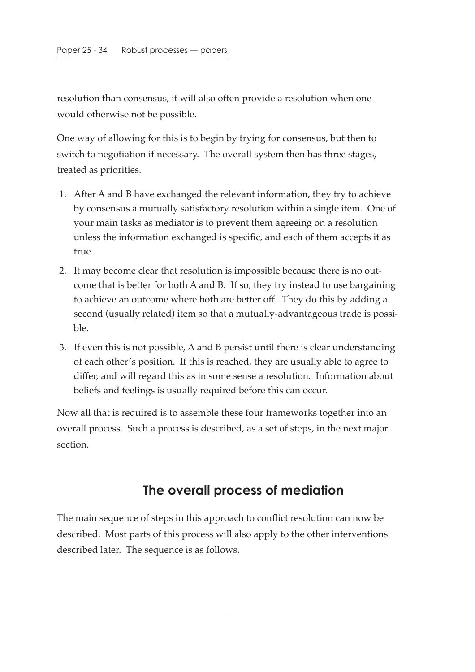resolution than consensus, it will also often provide a resolution when one would otherwise not be possible.

One way of allowing for this is to begin by trying for consensus, but then to switch to negotiation if necessary. The overall system then has three stages, treated as priorities.

- 1. After A and B have exchanged the relevant information, they try to achieve by consensus a mutually satisfactory resolution within a single item. One of your main tasks as mediator is to prevent them agreeing on a resolution unless the information exchanged is specific, and each of them accepts it as true.
- 2. It may become clear that resolution is impossible because there is no outcome that is better for both A and B. If so, they try instead to use bargaining to achieve an outcome where both are better off. They do this by adding a second (usually related) item so that a mutually-advantageous trade is possible.
- 3. If even this is not possible, A and B persist until there is clear understanding of each other's position. If this is reached, they are usually able to agree to differ, and will regard this as in some sense a resolution. Information about beliefs and feelings is usually required before this can occur.

Now all that is required is to assemble these four frameworks together into an overall process. Such a process is described, as a set of steps, in the next major section.

### **The overall process of mediation**

The main sequence of steps in this approach to conflict resolution can now be described. Most parts of this process will also apply to the other interventions described later. The sequence is as follows.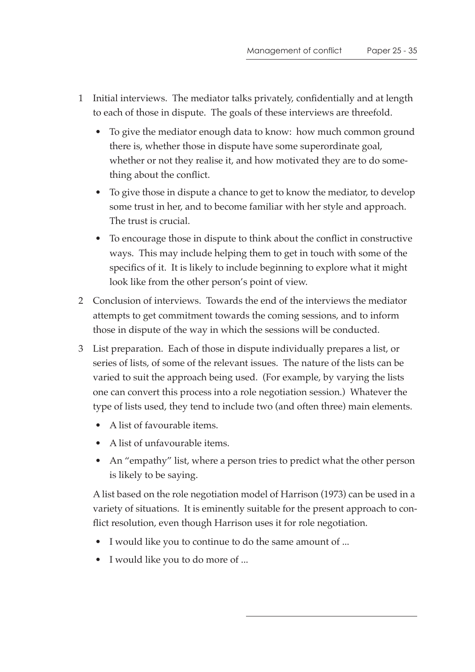- 1 Initial interviews. The mediator talks privately, confidentially and at length to each of those in dispute. The goals of these interviews are threefold.
	- To give the mediator enough data to know: how much common ground there is, whether those in dispute have some superordinate goal, whether or not they realise it, and how motivated they are to do something about the conflict.
	- To give those in dispute a chance to get to know the mediator, to develop some trust in her, and to become familiar with her style and approach. The trust is crucial.
	- To encourage those in dispute to think about the conflict in constructive ways. This may include helping them to get in touch with some of the specifics of it. It is likely to include beginning to explore what it might look like from the other person's point of view.
- 2 Conclusion of interviews. Towards the end of the interviews the mediator attempts to get commitment towards the coming sessions, and to inform those in dispute of the way in which the sessions will be conducted.
- 3 List preparation. Each of those in dispute individually prepares a list, or series of lists, of some of the relevant issues. The nature of the lists can be varied to suit the approach being used. (For example, by varying the lists one can convert this process into a role negotiation session.) Whatever the type of lists used, they tend to include two (and often three) main elements.
	- A list of favourable items.
	- A list of unfavourable items.
	- An "empathy" list, where a person tries to predict what the other person is likely to be saying.

A list based on the role negotiation model of Harrison (1973) can be used in a variety of situations. It is eminently suitable for the present approach to conflict resolution, even though Harrison uses it for role negotiation.

- I would like you to continue to do the same amount of ...
- I would like you to do more of ...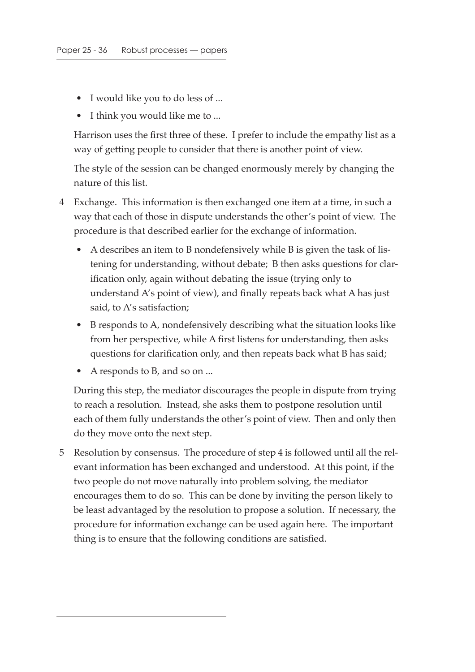- I would like you to do less of ...
- I think you would like me to ...

Harrison uses the first three of these. I prefer to include the empathy list as a way of getting people to consider that there is another point of view.

The style of the session can be changed enormously merely by changing the nature of this list.

- 4 Exchange. This information is then exchanged one item at a time, in such a way that each of those in dispute understands the other's point of view. The procedure is that described earlier for the exchange of information.
	- A describes an item to B nondefensively while B is given the task of listening for understanding, without debate; B then asks questions for clarification only, again without debating the issue (trying only to understand A's point of view), and finally repeats back what A has just said, to A's satisfaction;
	- B responds to A, nondefensively describing what the situation looks like from her perspective, while A first listens for understanding, then asks questions for clarification only, and then repeats back what B has said;
	- A responds to B, and so on ...

During this step, the mediator discourages the people in dispute from trying to reach a resolution. Instead, she asks them to postpone resolution until each of them fully understands the other's point of view. Then and only then do they move onto the next step.

 5 Resolution by consensus. The procedure of step 4 is followed until all the relevant information has been exchanged and understood. At this point, if the two people do not move naturally into problem solving, the mediator encourages them to do so. This can be done by inviting the person likely to be least advantaged by the resolution to propose a solution. If necessary, the procedure for information exchange can be used again here. The important thing is to ensure that the following conditions are satisfied.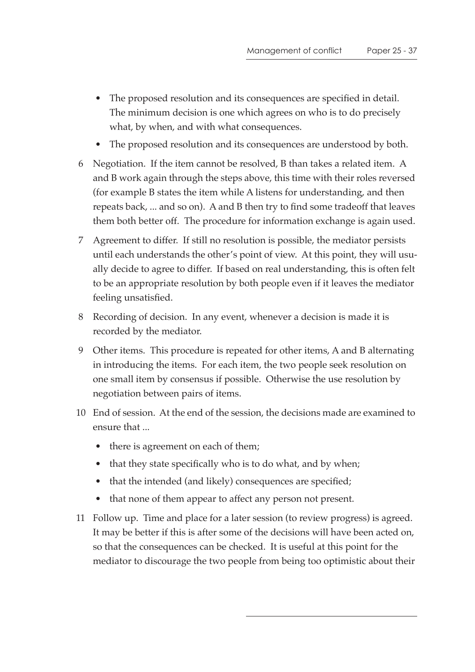- The proposed resolution and its consequences are specified in detail. The minimum decision is one which agrees on who is to do precisely what, by when, and with what consequences.
- The proposed resolution and its consequences are understood by both.
- 6 Negotiation. If the item cannot be resolved, B than takes a related item. A and B work again through the steps above, this time with their roles reversed (for example B states the item while A listens for understanding, and then repeats back, ... and so on). A and B then try to find some tradeoff that leaves them both better off. The procedure for information exchange is again used.
- 7 Agreement to differ. If still no resolution is possible, the mediator persists until each understands the other's point of view. At this point, they will usually decide to agree to differ. If based on real understanding, this is often felt to be an appropriate resolution by both people even if it leaves the mediator feeling unsatisfied.
- 8 Recording of decision. In any event, whenever a decision is made it is recorded by the mediator.
- 9 Other items. This procedure is repeated for other items, A and B alternating in introducing the items. For each item, the two people seek resolution on one small item by consensus if possible. Otherwise the use resolution by negotiation between pairs of items.
- 10 End of session. At the end of the session, the decisions made are examined to ensure that ...
	- there is agreement on each of them;
	- that they state specifically who is to do what, and by when;
	- that the intended (and likely) consequences are specified;
	- that none of them appear to affect any person not present.
- 11 Follow up. Time and place for a later session (to review progress) is agreed. It may be better if this is after some of the decisions will have been acted on, so that the consequences can be checked. It is useful at this point for the mediator to discourage the two people from being too optimistic about their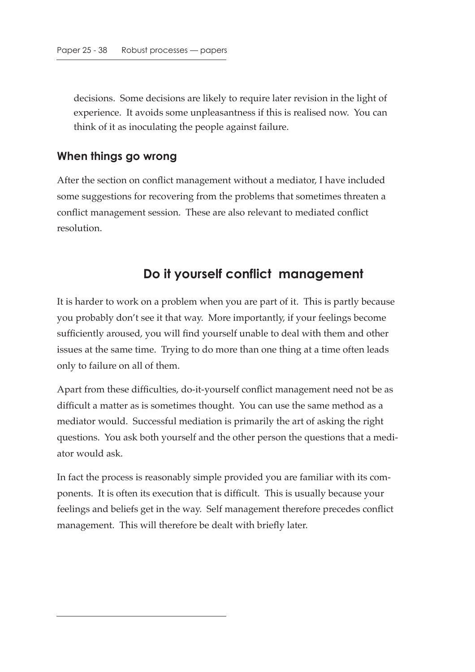decisions. Some decisions are likely to require later revision in the light of experience. It avoids some unpleasantness if this is realised now. You can think of it as inoculating the people against failure.

#### **When things go wrong**

After the section on conflict management without a mediator, I have included some suggestions for recovering from the problems that sometimes threaten a conflict management session. These are also relevant to mediated conflict resolution.

# **Do it yourself conflict management**

It is harder to work on a problem when you are part of it. This is partly because you probably don't see it that way. More importantly, if your feelings become sufficiently aroused, you will find yourself unable to deal with them and other issues at the same time. Trying to do more than one thing at a time often leads only to failure on all of them.

Apart from these difficulties, do-it-yourself conflict management need not be as difficult a matter as is sometimes thought. You can use the same method as a mediator would. Successful mediation is primarily the art of asking the right questions. You ask both yourself and the other person the questions that a mediator would ask.

In fact the process is reasonably simple provided you are familiar with its components. It is often its execution that is difficult. This is usually because your feelings and beliefs get in the way. Self management therefore precedes conflict management. This will therefore be dealt with briefly later.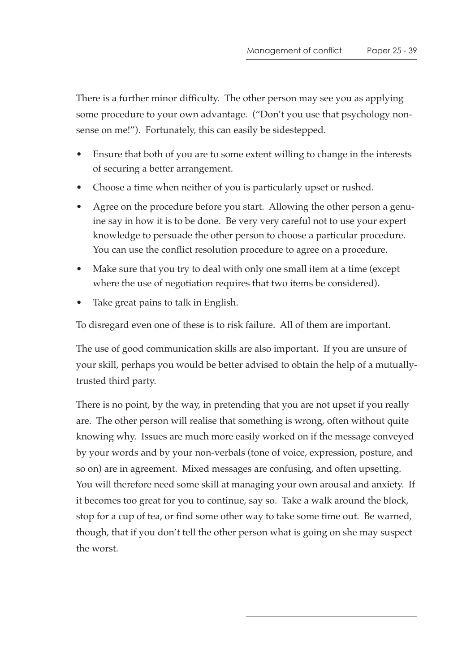There is a further minor difficulty. The other person may see you as applying some procedure to your own advantage. ("Don't you use that psychology nonsense on me!"). Fortunately, this can easily be sidestepped.

- Ensure that both of you are to some extent willing to change in the interests of securing a better arrangement.
- Choose a time when neither of you is particularly upset or rushed.
- Agree on the procedure before you start. Allowing the other person a genuine say in how it is to be done. Be very very careful not to use your expert knowledge to persuade the other person to choose a particular procedure. You can use the conflict resolution procedure to agree on a procedure.
- Make sure that you try to deal with only one small item at a time (except where the use of negotiation requires that two items be considered).
- Take great pains to talk in English.

To disregard even one of these is to risk failure. All of them are important.

The use of good communication skills are also important. If you are unsure of your skill, perhaps you would be better advised to obtain the help of a mutuallytrusted third party.

There is no point, by the way, in pretending that you are not upset if you really are. The other person will realise that something is wrong, often without quite knowing why. Issues are much more easily worked on if the message conveyed by your words and by your non-verbals (tone of voice, expression, posture, and so on) are in agreement. Mixed messages are confusing, and often upsetting. You will therefore need some skill at managing your own arousal and anxiety. If it becomes too great for you to continue, say so. Take a walk around the block, stop for a cup of tea, or find some other way to take some time out. Be warned, though, that if you don't tell the other person what is going on she may suspect the worst.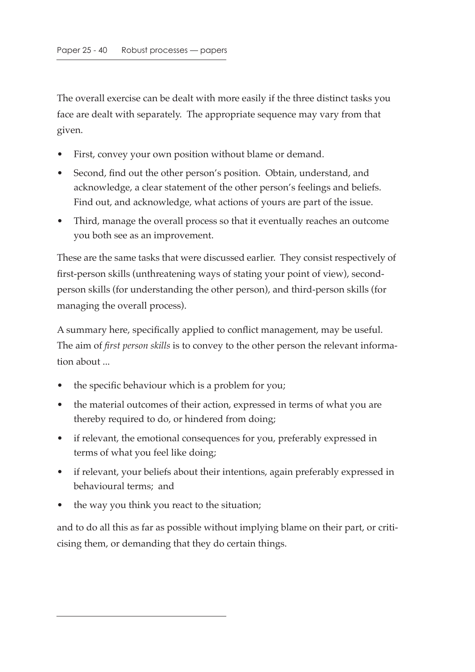The overall exercise can be dealt with more easily if the three distinct tasks you face are dealt with separately. The appropriate sequence may vary from that given.

- First, convey your own position without blame or demand.
- Second, find out the other person's position. Obtain, understand, and acknowledge, a clear statement of the other person's feelings and beliefs. Find out, and acknowledge, what actions of yours are part of the issue.
- Third, manage the overall process so that it eventually reaches an outcome you both see as an improvement.

These are the same tasks that were discussed earlier. They consist respectively of first-person skills (unthreatening ways of stating your point of view), secondperson skills (for understanding the other person), and third-person skills (for managing the overall process).

A summary here, specifically applied to conflict management, may be useful. The aim of *first person skills* is to convey to the other person the relevant information about ...

- the specific behaviour which is a problem for you;
- the material outcomes of their action, expressed in terms of what you are thereby required to do, or hindered from doing;
- if relevant, the emotional consequences for you, preferably expressed in terms of what you feel like doing;
- if relevant, your beliefs about their intentions, again preferably expressed in behavioural terms; and
- the way you think you react to the situation;

and to do all this as far as possible without implying blame on their part, or criticising them, or demanding that they do certain things.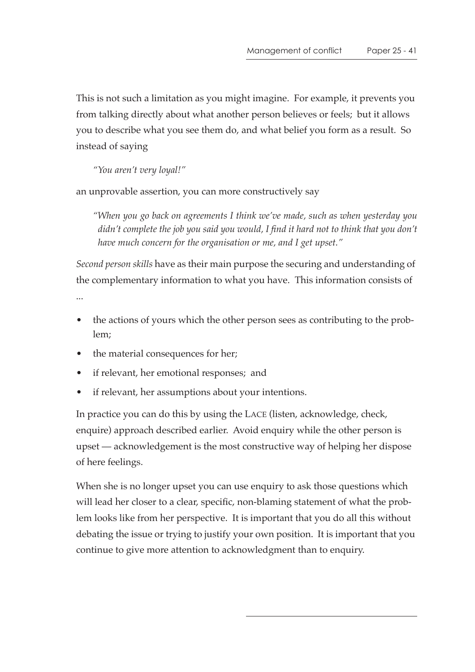This is not such a limitation as you might imagine. For example, it prevents you from talking directly about what another person believes or feels; but it allows you to describe what you see them do, and what belief you form as a result. So instead of saying

*"You aren't very loyal!"*

an unprovable assertion, you can more constructively say

*"When you go back on agreements I think we've made, such as when yesterday you didn't complete the job you said you would, I find it hard not to think that you don't have much concern for the organisation or me, and I get upset."*

*Second person skills* have as their main purpose the securing and understanding of the complementary information to what you have. This information consists of

...

- the actions of yours which the other person sees as contributing to the problem;
- the material consequences for her;
- if relevant, her emotional responses; and
- if relevant, her assumptions about your intentions.

In practice you can do this by using the LACE (listen, acknowledge, check, enquire) approach described earlier. Avoid enquiry while the other person is upset — acknowledgement is the most constructive way of helping her dispose of here feelings.

When she is no longer upset you can use enquiry to ask those questions which will lead her closer to a clear, specific, non-blaming statement of what the problem looks like from her perspective. It is important that you do all this without debating the issue or trying to justify your own position. It is important that you continue to give more attention to acknowledgment than to enquiry.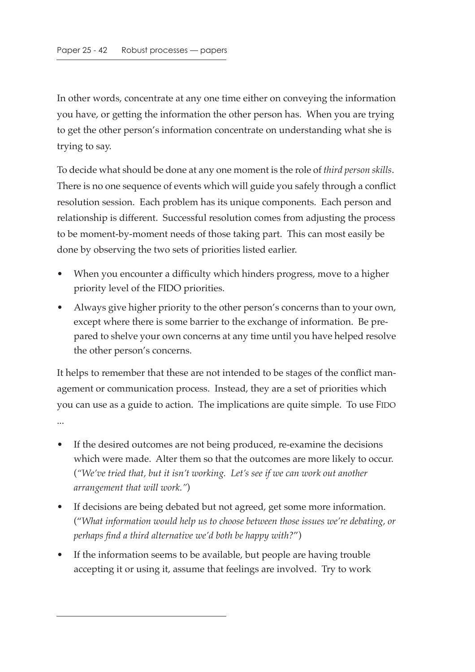In other words, concentrate at any one time either on conveying the information you have, or getting the information the other person has. When you are trying to get the other person's information concentrate on understanding what she is trying to say.

To decide what should be done at any one moment is the role of *third person skills*. There is no one sequence of events which will guide you safely through a conflict resolution session. Each problem has its unique components. Each person and relationship is different. Successful resolution comes from adjusting the process to be moment-by-moment needs of those taking part. This can most easily be done by observing the two sets of priorities listed earlier.

- When you encounter a difficulty which hinders progress, move to a higher priority level of the FIDO priorities.
- Always give higher priority to the other person's concerns than to your own, except where there is some barrier to the exchange of information. Be prepared to shelve your own concerns at any time until you have helped resolve the other person's concerns.

It helps to remember that these are not intended to be stages of the conflict management or communication process. Instead, they are a set of priorities which you can use as a guide to action. The implications are quite simple. To use FIDO ...

- If the desired outcomes are not being produced, re-examine the decisions which were made. Alter them so that the outcomes are more likely to occur. (*"We've tried that, but it isn't working. Let's see if we can work out another arrangement that will work."*)
- If decisions are being debated but not agreed, get some more information. ("*What information would help us to choose between those issues we're debating, or perhaps find a third alternative we'd both be happy with?*")
- If the information seems to be available, but people are having trouble accepting it or using it, assume that feelings are involved. Try to work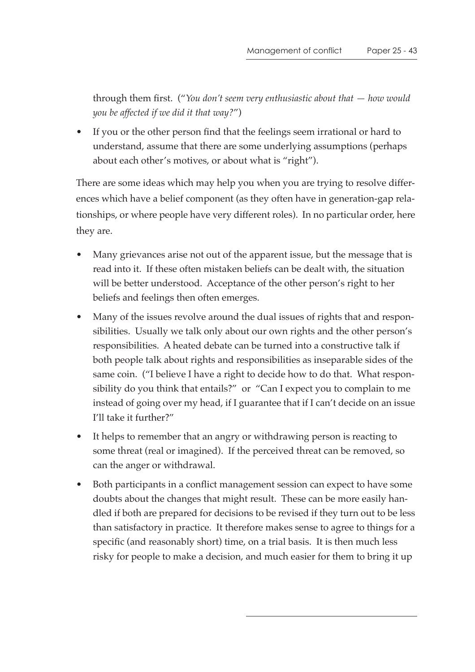through them first. ("*You don't seem very enthusiastic about that — how would you be affected if we did it that way?*")

• If you or the other person find that the feelings seem irrational or hard to understand, assume that there are some underlying assumptions (perhaps about each other's motives, or about what is "right").

There are some ideas which may help you when you are trying to resolve differences which have a belief component (as they often have in generation-gap relationships, or where people have very different roles). In no particular order, here they are.

- Many grievances arise not out of the apparent issue, but the message that is read into it. If these often mistaken beliefs can be dealt with, the situation will be better understood. Acceptance of the other person's right to her beliefs and feelings then often emerges.
- Many of the issues revolve around the dual issues of rights that and responsibilities. Usually we talk only about our own rights and the other person's responsibilities. A heated debate can be turned into a constructive talk if both people talk about rights and responsibilities as inseparable sides of the same coin. ("I believe I have a right to decide how to do that. What responsibility do you think that entails?" or "Can I expect you to complain to me instead of going over my head, if I guarantee that if I can't decide on an issue I'll take it further?"
- It helps to remember that an angry or withdrawing person is reacting to some threat (real or imagined). If the perceived threat can be removed, so can the anger or withdrawal.
- Both participants in a conflict management session can expect to have some doubts about the changes that might result. These can be more easily handled if both are prepared for decisions to be revised if they turn out to be less than satisfactory in practice. It therefore makes sense to agree to things for a specific (and reasonably short) time, on a trial basis. It is then much less risky for people to make a decision, and much easier for them to bring it up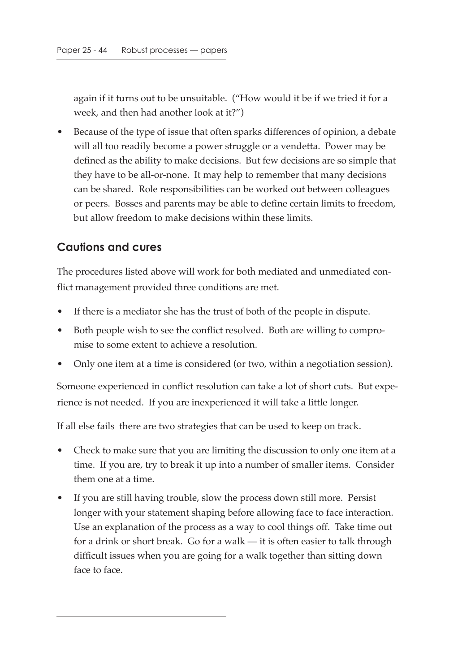again if it turns out to be unsuitable. ("How would it be if we tried it for a week, and then had another look at it?")

• Because of the type of issue that often sparks differences of opinion, a debate will all too readily become a power struggle or a vendetta. Power may be defined as the ability to make decisions. But few decisions are so simple that they have to be all-or-none. It may help to remember that many decisions can be shared. Role responsibilities can be worked out between colleagues or peers. Bosses and parents may be able to define certain limits to freedom, but allow freedom to make decisions within these limits.

#### **Cautions and cures**

The procedures listed above will work for both mediated and unmediated conflict management provided three conditions are met.

- If there is a mediator she has the trust of both of the people in dispute.
- Both people wish to see the conflict resolved. Both are willing to compromise to some extent to achieve a resolution.
- Only one item at a time is considered (or two, within a negotiation session).

Someone experienced in conflict resolution can take a lot of short cuts. But experience is not needed. If you are inexperienced it will take a little longer.

If all else fails there are two strategies that can be used to keep on track.

- Check to make sure that you are limiting the discussion to only one item at a time. If you are, try to break it up into a number of smaller items. Consider them one at a time.
- If you are still having trouble, slow the process down still more. Persist longer with your statement shaping before allowing face to face interaction. Use an explanation of the process as a way to cool things off. Take time out for a drink or short break. Go for a walk — it is often easier to talk through difficult issues when you are going for a walk together than sitting down face to face.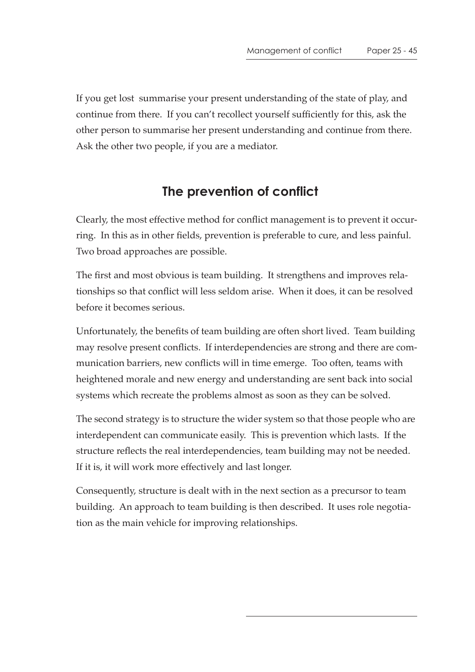If you get lost summarise your present understanding of the state of play, and continue from there. If you can't recollect yourself sufficiently for this, ask the other person to summarise her present understanding and continue from there. Ask the other two people, if you are a mediator.

# **The prevention of conflict**

Clearly, the most effective method for conflict management is to prevent it occurring. In this as in other fields, prevention is preferable to cure, and less painful. Two broad approaches are possible.

The first and most obvious is team building. It strengthens and improves relationships so that conflict will less seldom arise. When it does, it can be resolved before it becomes serious.

Unfortunately, the benefits of team building are often short lived. Team building may resolve present conflicts. If interdependencies are strong and there are communication barriers, new conflicts will in time emerge. Too often, teams with heightened morale and new energy and understanding are sent back into social systems which recreate the problems almost as soon as they can be solved.

The second strategy is to structure the wider system so that those people who are interdependent can communicate easily. This is prevention which lasts. If the structure reflects the real interdependencies, team building may not be needed. If it is, it will work more effectively and last longer.

Consequently, structure is dealt with in the next section as a precursor to team building. An approach to team building is then described. It uses role negotiation as the main vehicle for improving relationships.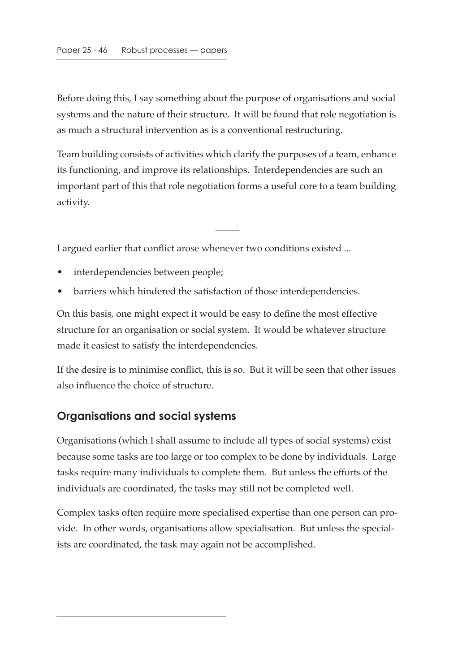Before doing this, I say something about the purpose of organisations and social systems and the nature of their structure. It will be found that role negotiation is as much a structural intervention as is a conventional restructuring.

Team building consists of activities which clarify the purposes of a team, enhance its functioning, and improve its relationships. Interdependencies are such an important part of this that role negotiation forms a useful core to a team building activity.

 $\overline{\phantom{a}}$ 

I argued earlier that conflict arose whenever two conditions existed ...

- interdependencies between people;
- barriers which hindered the satisfaction of those interdependencies.

On this basis, one might expect it would be easy to define the most effective structure for an organisation or social system. It would be whatever structure made it easiest to satisfy the interdependencies.

If the desire is to minimise conflict, this is so. But it will be seen that other issues also influence the choice of structure.

# **Organisations and social systems**

Organisations (which I shall assume to include all types of social systems) exist because some tasks are too large or too complex to be done by individuals. Large tasks require many individuals to complete them. But unless the efforts of the individuals are coordinated, the tasks may still not be completed well.

Complex tasks often require more specialised expertise than one person can provide. In other words, organisations allow specialisation. But unless the specialists are coordinated, the task may again not be accomplished.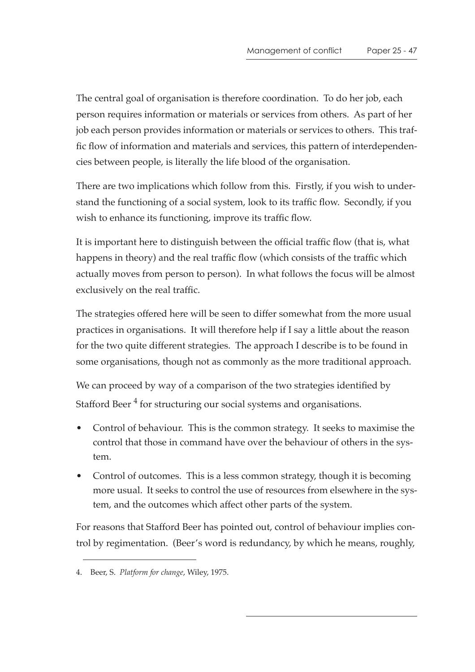The central goal of organisation is therefore coordination. To do her job, each person requires information or materials or services from others. As part of her job each person provides information or materials or services to others. This traffic flow of information and materials and services, this pattern of interdependencies between people, is literally the life blood of the organisation.

There are two implications which follow from this. Firstly, if you wish to understand the functioning of a social system, look to its traffic flow. Secondly, if you wish to enhance its functioning, improve its traffic flow.

It is important here to distinguish between the official traffic flow (that is, what happens in theory) and the real traffic flow (which consists of the traffic which actually moves from person to person). In what follows the focus will be almost exclusively on the real traffic.

The strategies offered here will be seen to differ somewhat from the more usual practices in organisations. It will therefore help if I say a little about the reason for the two quite different strategies. The approach I describe is to be found in some organisations, though not as commonly as the more traditional approach.

We can proceed by way of a comparison of the two strategies identified by Stafford Beer<sup>4</sup> for structuring our social systems and organisations.

- Control of behaviour. This is the common strategy. It seeks to maximise the control that those in command have over the behaviour of others in the system.
- Control of outcomes. This is a less common strategy, though it is becoming more usual. It seeks to control the use of resources from elsewhere in the system, and the outcomes which affect other parts of the system.

For reasons that Stafford Beer has pointed out, control of behaviour implies control by regimentation. (Beer's word is redundancy, by which he means, roughly,

<sup>4.</sup> Beer, S. *Platform for change*, Wiley, 1975.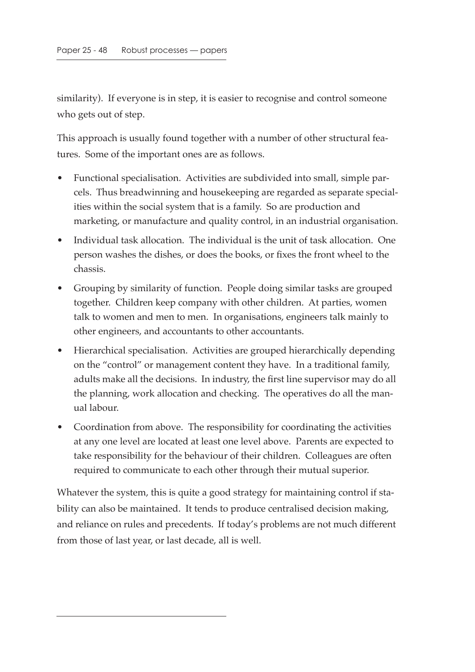similarity). If everyone is in step, it is easier to recognise and control someone who gets out of step.

This approach is usually found together with a number of other structural features. Some of the important ones are as follows.

- Functional specialisation. Activities are subdivided into small, simple parcels. Thus breadwinning and housekeeping are regarded as separate specialities within the social system that is a family. So are production and marketing, or manufacture and quality control, in an industrial organisation.
- Individual task allocation. The individual is the unit of task allocation. One person washes the dishes, or does the books, or fixes the front wheel to the chassis.
- Grouping by similarity of function. People doing similar tasks are grouped together. Children keep company with other children. At parties, women talk to women and men to men. In organisations, engineers talk mainly to other engineers, and accountants to other accountants.
- Hierarchical specialisation. Activities are grouped hierarchically depending on the "control" or management content they have. In a traditional family, adults make all the decisions. In industry, the first line supervisor may do all the planning, work allocation and checking. The operatives do all the manual labour.
- Coordination from above. The responsibility for coordinating the activities at any one level are located at least one level above. Parents are expected to take responsibility for the behaviour of their children. Colleagues are often required to communicate to each other through their mutual superior.

Whatever the system, this is quite a good strategy for maintaining control if stability can also be maintained. It tends to produce centralised decision making, and reliance on rules and precedents. If today's problems are not much different from those of last year, or last decade, all is well.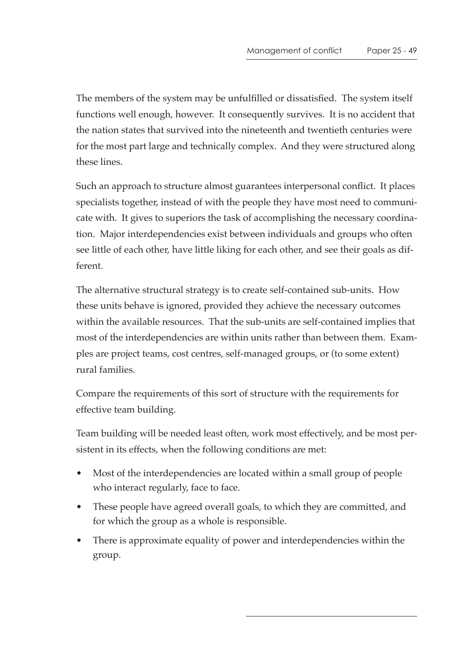The members of the system may be unfulfilled or dissatisfied. The system itself functions well enough, however. It consequently survives. It is no accident that the nation states that survived into the nineteenth and twentieth centuries were for the most part large and technically complex. And they were structured along these lines.

Such an approach to structure almost guarantees interpersonal conflict. It places specialists together, instead of with the people they have most need to communicate with. It gives to superiors the task of accomplishing the necessary coordination. Major interdependencies exist between individuals and groups who often see little of each other, have little liking for each other, and see their goals as different.

The alternative structural strategy is to create self-contained sub-units. How these units behave is ignored, provided they achieve the necessary outcomes within the available resources. That the sub-units are self-contained implies that most of the interdependencies are within units rather than between them. Examples are project teams, cost centres, self-managed groups, or (to some extent) rural families.

Compare the requirements of this sort of structure with the requirements for effective team building.

Team building will be needed least often, work most effectively, and be most persistent in its effects, when the following conditions are met:

- Most of the interdependencies are located within a small group of people who interact regularly, face to face.
- These people have agreed overall goals, to which they are committed, and for which the group as a whole is responsible.
- There is approximate equality of power and interdependencies within the group.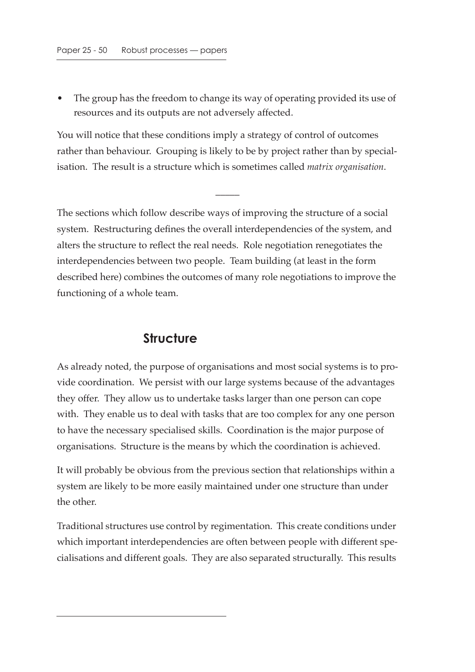• The group has the freedom to change its way of operating provided its use of resources and its outputs are not adversely affected.

You will notice that these conditions imply a strategy of control of outcomes rather than behaviour. Grouping is likely to be by project rather than by specialisation. The result is a structure which is sometimes called *matrix organisation*.

 $\overline{\phantom{a}}$ 

The sections which follow describe ways of improving the structure of a social system. Restructuring defines the overall interdependencies of the system, and alters the structure to reflect the real needs. Role negotiation renegotiates the interdependencies between two people. Team building (at least in the form described here) combines the outcomes of many role negotiations to improve the functioning of a whole team.

## **Structure**

As already noted, the purpose of organisations and most social systems is to provide coordination. We persist with our large systems because of the advantages they offer. They allow us to undertake tasks larger than one person can cope with. They enable us to deal with tasks that are too complex for any one person to have the necessary specialised skills. Coordination is the major purpose of organisations. Structure is the means by which the coordination is achieved.

It will probably be obvious from the previous section that relationships within a system are likely to be more easily maintained under one structure than under the other.

Traditional structures use control by regimentation. This create conditions under which important interdependencies are often between people with different specialisations and different goals. They are also separated structurally. This results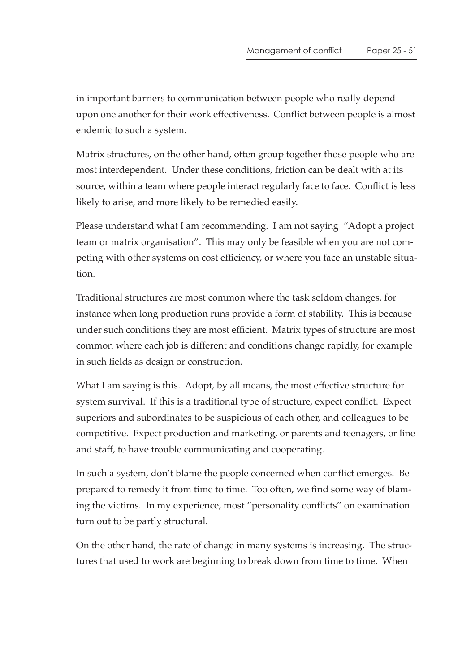in important barriers to communication between people who really depend upon one another for their work effectiveness. Conflict between people is almost endemic to such a system.

Matrix structures, on the other hand, often group together those people who are most interdependent. Under these conditions, friction can be dealt with at its source, within a team where people interact regularly face to face. Conflict is less likely to arise, and more likely to be remedied easily.

Please understand what I am recommending. I am not saying "Adopt a project team or matrix organisation". This may only be feasible when you are not competing with other systems on cost efficiency, or where you face an unstable situation.

Traditional structures are most common where the task seldom changes, for instance when long production runs provide a form of stability. This is because under such conditions they are most efficient. Matrix types of structure are most common where each job is different and conditions change rapidly, for example in such fields as design or construction.

What I am saying is this. Adopt, by all means, the most effective structure for system survival. If this is a traditional type of structure, expect conflict. Expect superiors and subordinates to be suspicious of each other, and colleagues to be competitive. Expect production and marketing, or parents and teenagers, or line and staff, to have trouble communicating and cooperating.

In such a system, don't blame the people concerned when conflict emerges. Be prepared to remedy it from time to time. Too often, we find some way of blaming the victims. In my experience, most "personality conflicts" on examination turn out to be partly structural.

On the other hand, the rate of change in many systems is increasing. The structures that used to work are beginning to break down from time to time. When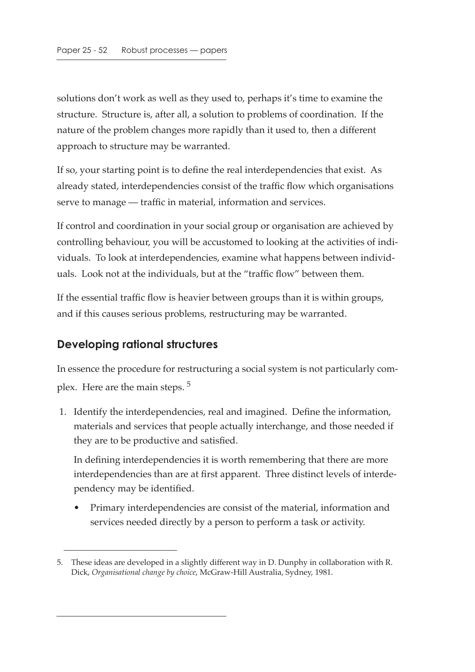solutions don't work as well as they used to, perhaps it's time to examine the structure. Structure is, after all, a solution to problems of coordination. If the nature of the problem changes more rapidly than it used to, then a different approach to structure may be warranted.

If so, your starting point is to define the real interdependencies that exist. As already stated, interdependencies consist of the traffic flow which organisations serve to manage — traffic in material, information and services.

If control and coordination in your social group or organisation are achieved by controlling behaviour, you will be accustomed to looking at the activities of individuals. To look at interdependencies, examine what happens between individuals. Look not at the individuals, but at the "traffic flow" between them.

If the essential traffic flow is heavier between groups than it is within groups, and if this causes serious problems, restructuring may be warranted.

## **Developing rational structures**

In essence the procedure for restructuring a social system is not particularly complex. Here are the main steps.<sup>5</sup>

 1. Identify the interdependencies, real and imagined. Define the information, materials and services that people actually interchange, and those needed if they are to be productive and satisfied.

In defining interdependencies it is worth remembering that there are more interdependencies than are at first apparent. Three distinct levels of interdependency may be identified.

• Primary interdependencies are consist of the material, information and services needed directly by a person to perform a task or activity.

<sup>5.</sup> These ideas are developed in a slightly different way in D. Dunphy in collaboration with R. Dick, *Organisational change by choice*, McGraw-Hill Australia, Sydney, 1981.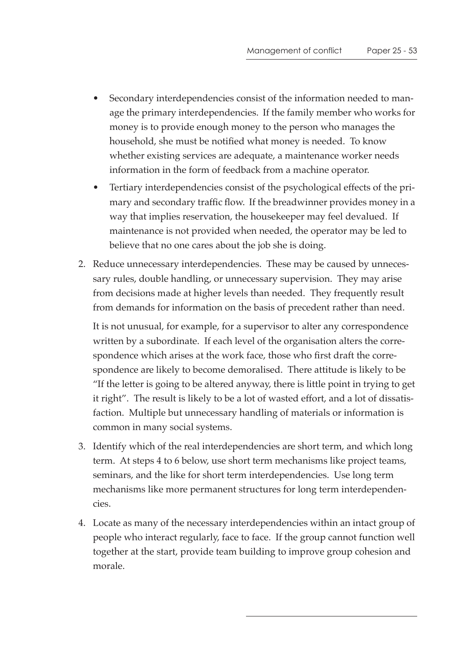- Secondary interdependencies consist of the information needed to manage the primary interdependencies. If the family member who works for money is to provide enough money to the person who manages the household, she must be notified what money is needed. To know whether existing services are adequate, a maintenance worker needs information in the form of feedback from a machine operator.
- Tertiary interdependencies consist of the psychological effects of the primary and secondary traffic flow. If the breadwinner provides money in a way that implies reservation, the housekeeper may feel devalued. If maintenance is not provided when needed, the operator may be led to believe that no one cares about the job she is doing.
- 2. Reduce unnecessary interdependencies. These may be caused by unnecessary rules, double handling, or unnecessary supervision. They may arise from decisions made at higher levels than needed. They frequently result from demands for information on the basis of precedent rather than need.

It is not unusual, for example, for a supervisor to alter any correspondence written by a subordinate. If each level of the organisation alters the correspondence which arises at the work face, those who first draft the correspondence are likely to become demoralised. There attitude is likely to be "If the letter is going to be altered anyway, there is little point in trying to get it right". The result is likely to be a lot of wasted effort, and a lot of dissatisfaction. Multiple but unnecessary handling of materials or information is common in many social systems.

- 3. Identify which of the real interdependencies are short term, and which long term. At steps 4 to 6 below, use short term mechanisms like project teams, seminars, and the like for short term interdependencies. Use long term mechanisms like more permanent structures for long term interdependencies.
- 4. Locate as many of the necessary interdependencies within an intact group of people who interact regularly, face to face. If the group cannot function well together at the start, provide team building to improve group cohesion and morale.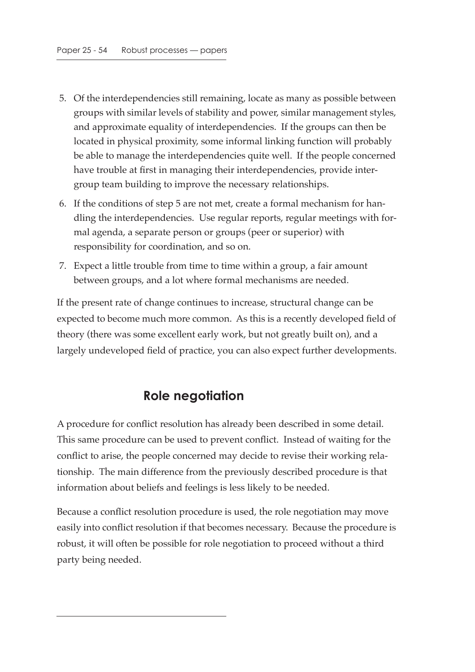- 5. Of the interdependencies still remaining, locate as many as possible between groups with similar levels of stability and power, similar management styles, and approximate equality of interdependencies. If the groups can then be located in physical proximity, some informal linking function will probably be able to manage the interdependencies quite well. If the people concerned have trouble at first in managing their interdependencies, provide intergroup team building to improve the necessary relationships.
- 6. If the conditions of step 5 are not met, create a formal mechanism for handling the interdependencies. Use regular reports, regular meetings with formal agenda, a separate person or groups (peer or superior) with responsibility for coordination, and so on.
- 7. Expect a little trouble from time to time within a group, a fair amount between groups, and a lot where formal mechanisms are needed.

If the present rate of change continues to increase, structural change can be expected to become much more common. As this is a recently developed field of theory (there was some excellent early work, but not greatly built on), and a largely undeveloped field of practice, you can also expect further developments.

# **Role negotiation**

A procedure for conflict resolution has already been described in some detail. This same procedure can be used to prevent conflict. Instead of waiting for the conflict to arise, the people concerned may decide to revise their working relationship. The main difference from the previously described procedure is that information about beliefs and feelings is less likely to be needed.

Because a conflict resolution procedure is used, the role negotiation may move easily into conflict resolution if that becomes necessary. Because the procedure is robust, it will often be possible for role negotiation to proceed without a third party being needed.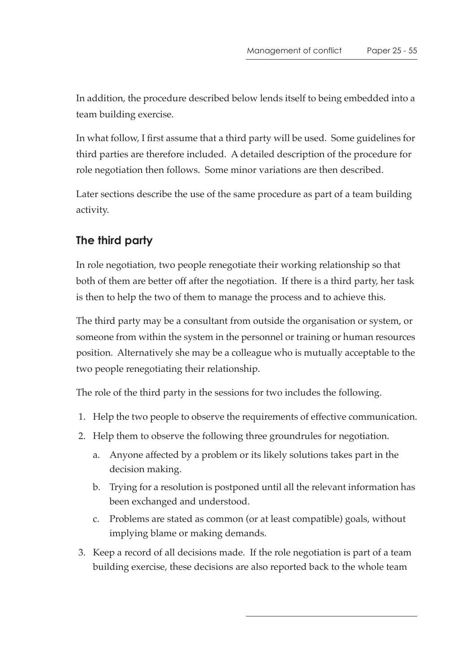In addition, the procedure described below lends itself to being embedded into a team building exercise.

In what follow, I first assume that a third party will be used. Some guidelines for third parties are therefore included. A detailed description of the procedure for role negotiation then follows. Some minor variations are then described.

Later sections describe the use of the same procedure as part of a team building activity.

# **The third party**

In role negotiation, two people renegotiate their working relationship so that both of them are better off after the negotiation. If there is a third party, her task is then to help the two of them to manage the process and to achieve this.

The third party may be a consultant from outside the organisation or system, or someone from within the system in the personnel or training or human resources position. Alternatively she may be a colleague who is mutually acceptable to the two people renegotiating their relationship.

The role of the third party in the sessions for two includes the following.

- 1. Help the two people to observe the requirements of effective communication.
- 2. Help them to observe the following three groundrules for negotiation.
	- a. Anyone affected by a problem or its likely solutions takes part in the decision making.
	- b. Trying for a resolution is postponed until all the relevant information has been exchanged and understood.
	- c. Problems are stated as common (or at least compatible) goals, without implying blame or making demands.
- 3. Keep a record of all decisions made. If the role negotiation is part of a team building exercise, these decisions are also reported back to the whole team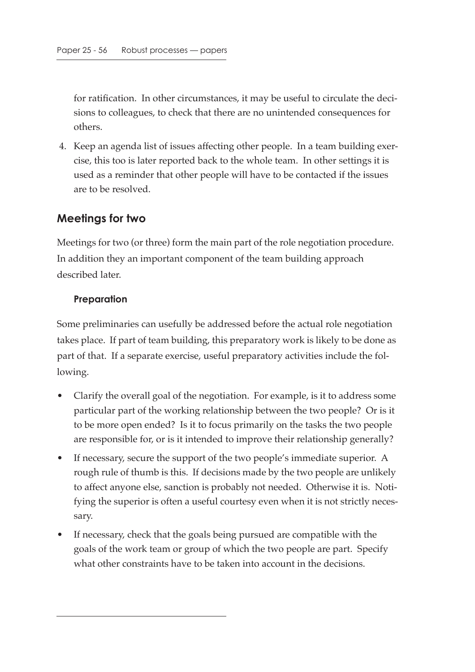for ratification. In other circumstances, it may be useful to circulate the decisions to colleagues, to check that there are no unintended consequences for others.

 4. Keep an agenda list of issues affecting other people. In a team building exercise, this too is later reported back to the whole team. In other settings it is used as a reminder that other people will have to be contacted if the issues are to be resolved.

## **Meetings for two**

Meetings for two (or three) form the main part of the role negotiation procedure. In addition they an important component of the team building approach described later.

#### **Preparation**

Some preliminaries can usefully be addressed before the actual role negotiation takes place. If part of team building, this preparatory work is likely to be done as part of that. If a separate exercise, useful preparatory activities include the following.

- Clarify the overall goal of the negotiation. For example, is it to address some particular part of the working relationship between the two people? Or is it to be more open ended? Is it to focus primarily on the tasks the two people are responsible for, or is it intended to improve their relationship generally?
- If necessary, secure the support of the two people's immediate superior. A rough rule of thumb is this. If decisions made by the two people are unlikely to affect anyone else, sanction is probably not needed. Otherwise it is. Notifying the superior is often a useful courtesy even when it is not strictly necessary.
- If necessary, check that the goals being pursued are compatible with the goals of the work team or group of which the two people are part. Specify what other constraints have to be taken into account in the decisions.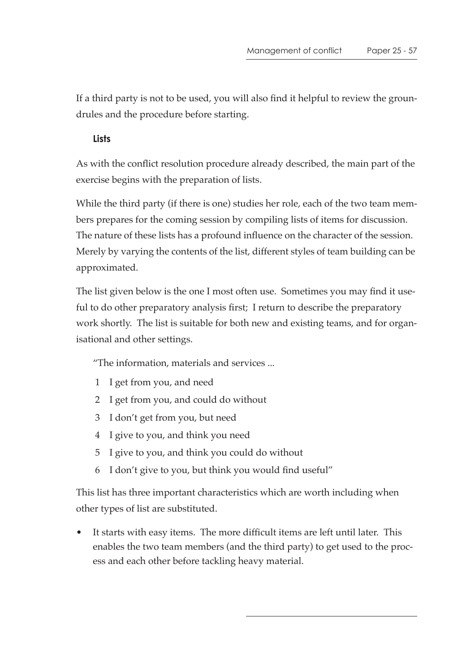If a third party is not to be used, you will also find it helpful to review the groundrules and the procedure before starting.

#### **Lists**

As with the conflict resolution procedure already described, the main part of the exercise begins with the preparation of lists.

While the third party (if there is one) studies her role, each of the two team members prepares for the coming session by compiling lists of items for discussion. The nature of these lists has a profound influence on the character of the session. Merely by varying the contents of the list, different styles of team building can be approximated.

The list given below is the one I most often use. Sometimes you may find it useful to do other preparatory analysis first; I return to describe the preparatory work shortly. The list is suitable for both new and existing teams, and for organisational and other settings.

"The information, materials and services ...

- 1 I get from you, and need
- 2 I get from you, and could do without
- 3 I don't get from you, but need
- 4 I give to you, and think you need
- 5 I give to you, and think you could do without
- 6 I don't give to you, but think you would find useful"

This list has three important characteristics which are worth including when other types of list are substituted.

It starts with easy items. The more difficult items are left until later. This enables the two team members (and the third party) to get used to the process and each other before tackling heavy material.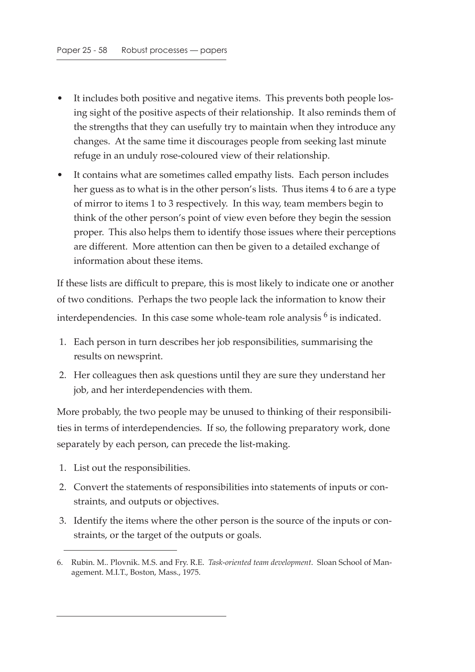- It includes both positive and negative items. This prevents both people losing sight of the positive aspects of their relationship. It also reminds them of the strengths that they can usefully try to maintain when they introduce any changes. At the same time it discourages people from seeking last minute refuge in an unduly rose-coloured view of their relationship.
- It contains what are sometimes called empathy lists. Each person includes her guess as to what is in the other person's lists. Thus items 4 to 6 are a type of mirror to items 1 to 3 respectively. In this way, team members begin to think of the other person's point of view even before they begin the session proper. This also helps them to identify those issues where their perceptions are different. More attention can then be given to a detailed exchange of information about these items.

If these lists are difficult to prepare, this is most likely to indicate one or another of two conditions. Perhaps the two people lack the information to know their interdependencies. In this case some whole-team role analysis <sup>6</sup> is indicated.

- 1. Each person in turn describes her job responsibilities, summarising the results on newsprint.
- 2. Her colleagues then ask questions until they are sure they understand her job, and her interdependencies with them.

More probably, the two people may be unused to thinking of their responsibilities in terms of interdependencies. If so, the following preparatory work, done separately by each person, can precede the list-making.

- 1. List out the responsibilities.
- 2. Convert the statements of responsibilities into statements of inputs or constraints, and outputs or objectives.
- 3. Identify the items where the other person is the source of the inputs or constraints, or the target of the outputs or goals.

<sup>6.</sup> Rubin. M.. Plovnik. M.S. and Fry. R.E. *Task-oriented team development*. Sloan School of Management. M.I.T., Boston, Mass., 1975.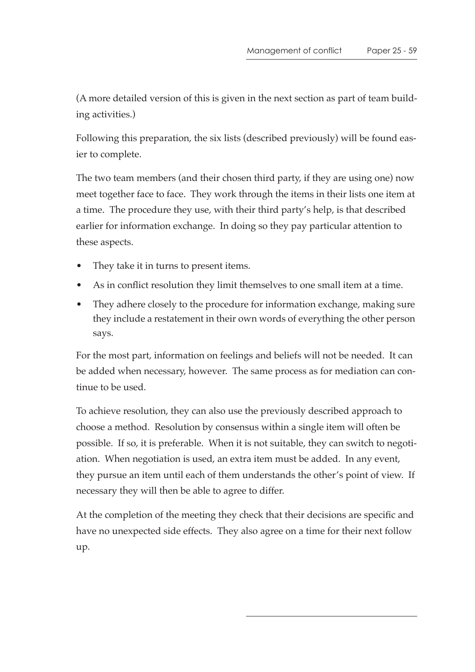(A more detailed version of this is given in the next section as part of team building activities.)

Following this preparation, the six lists (described previously) will be found easier to complete.

The two team members (and their chosen third party, if they are using one) now meet together face to face. They work through the items in their lists one item at a time. The procedure they use, with their third party's help, is that described earlier for information exchange. In doing so they pay particular attention to these aspects.

- They take it in turns to present items.
- As in conflict resolution they limit themselves to one small item at a time.
- They adhere closely to the procedure for information exchange, making sure they include a restatement in their own words of everything the other person says.

For the most part, information on feelings and beliefs will not be needed. It can be added when necessary, however. The same process as for mediation can continue to be used.

To achieve resolution, they can also use the previously described approach to choose a method. Resolution by consensus within a single item will often be possible. If so, it is preferable. When it is not suitable, they can switch to negotiation. When negotiation is used, an extra item must be added. In any event, they pursue an item until each of them understands the other's point of view. If necessary they will then be able to agree to differ.

At the completion of the meeting they check that their decisions are specific and have no unexpected side effects. They also agree on a time for their next follow up.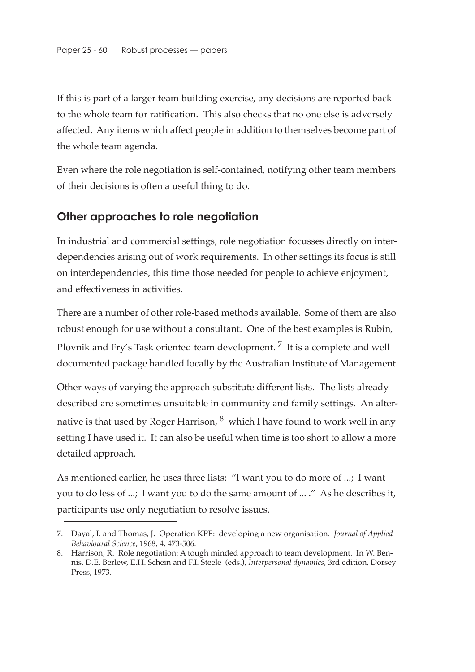If this is part of a larger team building exercise, any decisions are reported back to the whole team for ratification. This also checks that no one else is adversely affected. Any items which affect people in addition to themselves become part of the whole team agenda.

Even where the role negotiation is self-contained, notifying other team members of their decisions is often a useful thing to do.

## **Other approaches to role negotiation**

In industrial and commercial settings, role negotiation focusses directly on interdependencies arising out of work requirements. In other settings its focus is still on interdependencies, this time those needed for people to achieve enjoyment, and effectiveness in activities.

There are a number of other role-based methods available. Some of them are also robust enough for use without a consultant. One of the best examples is Rubin, Plovnik and Fry's Task oriented team development.<sup>7</sup> It is a complete and well documented package handled locally by the Australian Institute of Management.

Other ways of varying the approach substitute different lists. The lists already described are sometimes unsuitable in community and family settings. An alternative is that used by Roger Harrison,  $^8$  which I have found to work well in any setting I have used it. It can also be useful when time is too short to allow a more detailed approach.

As mentioned earlier, he uses three lists: "I want you to do more of ...; I want you to do less of ...; I want you to do the same amount of ... ." As he describes it, participants use only negotiation to resolve issues.

<sup>7.</sup> Dayal, I. and Thomas, J. Operation KPE: developing a new organisation. *Journal of Applied Behavioural Science*, 1968, 4, 473-506.

<sup>8.</sup> Harrison, R. Role negotiation: A tough minded approach to team development. In W. Bennis, D.E. Berlew, E.H. Schein and F.I. Steele (eds.), *Interpersonal dynamics*, 3rd edition, Dorsey Press, 1973.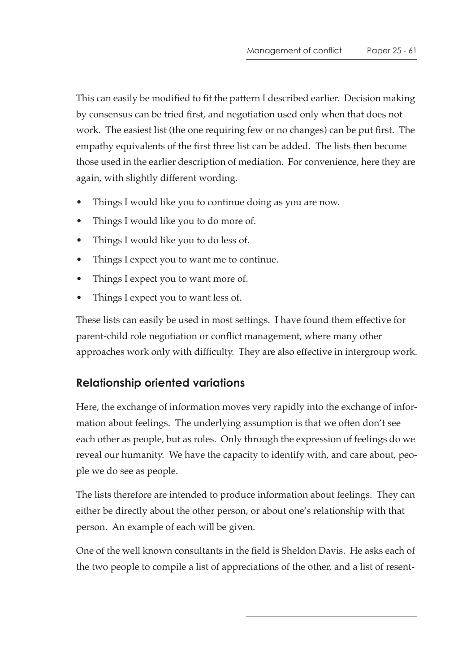This can easily be modified to fit the pattern I described earlier. Decision making by consensus can be tried first, and negotiation used only when that does not work. The easiest list (the one requiring few or no changes) can be put first. The empathy equivalents of the first three list can be added. The lists then become those used in the earlier description of mediation. For convenience, here they are again, with slightly different wording.

- Things I would like you to continue doing as you are now.
- Things I would like you to do more of.
- Things I would like you to do less of.
- Things I expect you to want me to continue.
- Things I expect you to want more of.
- Things I expect you to want less of.

These lists can easily be used in most settings. I have found them effective for parent-child role negotiation or conflict management, where many other approaches work only with difficulty. They are also effective in intergroup work.

# **Relationship oriented variations**

Here, the exchange of information moves very rapidly into the exchange of information about feelings. The underlying assumption is that we often don't see each other as people, but as roles. Only through the expression of feelings do we reveal our humanity. We have the capacity to identify with, and care about, people we do see as people.

The lists therefore are intended to produce information about feelings. They can either be directly about the other person, or about one's relationship with that person. An example of each will be given.

One of the well known consultants in the field is Sheldon Davis. He asks each of the two people to compile a list of appreciations of the other, and a list of resent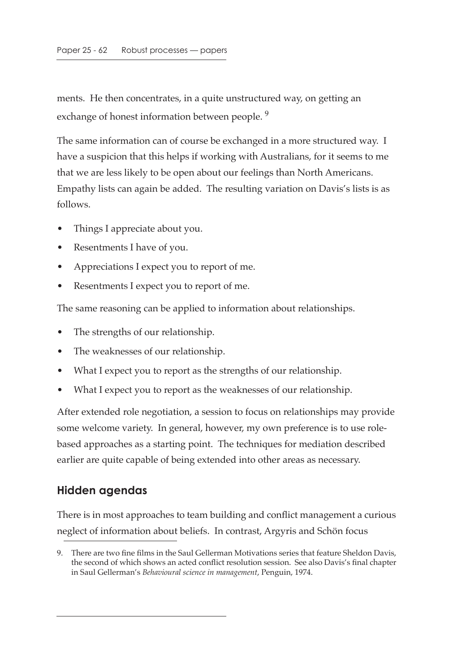ments. He then concentrates, in a quite unstructured way, on getting an exchange of honest information between people.<sup>9</sup>

The same information can of course be exchanged in a more structured way. I have a suspicion that this helps if working with Australians, for it seems to me that we are less likely to be open about our feelings than North Americans. Empathy lists can again be added. The resulting variation on Davis's lists is as follows.

- Things I appreciate about you.
- Resentments I have of you.
- Appreciations I expect you to report of me.
- Resentments I expect you to report of me.

The same reasoning can be applied to information about relationships.

- The strengths of our relationship.
- The weaknesses of our relationship.
- What I expect you to report as the strengths of our relationship.
- What I expect you to report as the weaknesses of our relationship.

After extended role negotiation, a session to focus on relationships may provide some welcome variety. In general, however, my own preference is to use rolebased approaches as a starting point. The techniques for mediation described earlier are quite capable of being extended into other areas as necessary.

## **Hidden agendas**

There is in most approaches to team building and conflict management a curious neglect of information about beliefs. In contrast, Argyris and Schön focus

<sup>9.</sup> There are two fine films in the Saul Gellerman Motivations series that feature Sheldon Davis, the second of which shows an acted conflict resolution session. See also Davis's final chapter in Saul Gellerman's *Behavioural science in management*, Penguin, 1974.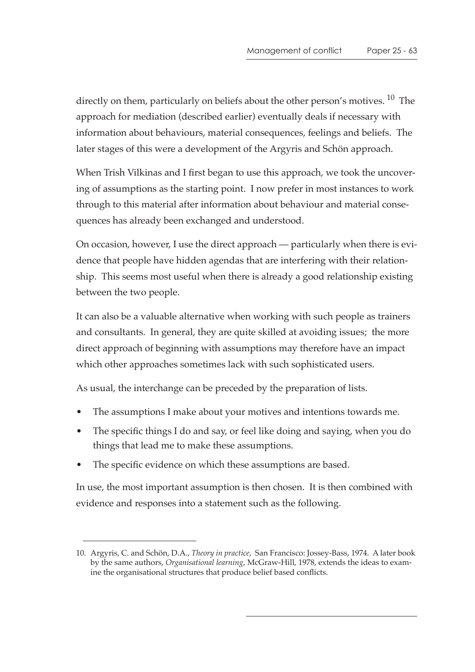directly on them, particularly on beliefs about the other person's motives. <sup>10</sup> The approach for mediation (described earlier) eventually deals if necessary with information about behaviours, material consequences, feelings and beliefs. The later stages of this were a development of the Argyris and Schön approach.

When Trish Vilkinas and I first began to use this approach, we took the uncovering of assumptions as the starting point. I now prefer in most instances to work through to this material after information about behaviour and material consequences has already been exchanged and understood.

On occasion, however, I use the direct approach — particularly when there is evidence that people have hidden agendas that are interfering with their relationship. This seems most useful when there is already a good relationship existing between the two people.

It can also be a valuable alternative when working with such people as trainers and consultants. In general, they are quite skilled at avoiding issues; the more direct approach of beginning with assumptions may therefore have an impact which other approaches sometimes lack with such sophisticated users.

As usual, the interchange can be preceded by the preparation of lists.

- The assumptions I make about your motives and intentions towards me.
- The specific things I do and say, or feel like doing and saying, when you do things that lead me to make these assumptions.
- The specific evidence on which these assumptions are based.

In use, the most important assumption is then chosen. It is then combined with evidence and responses into a statement such as the following.

<sup>10.</sup> Argyris, C. and Schön, D.A., *Theory in practice*, San Francisco: Jossey-Bass, 1974. A later book by the same authors, *Organisational learning*, McGraw-Hill, 1978, extends the ideas to examine the organisational structures that produce belief based conflicts.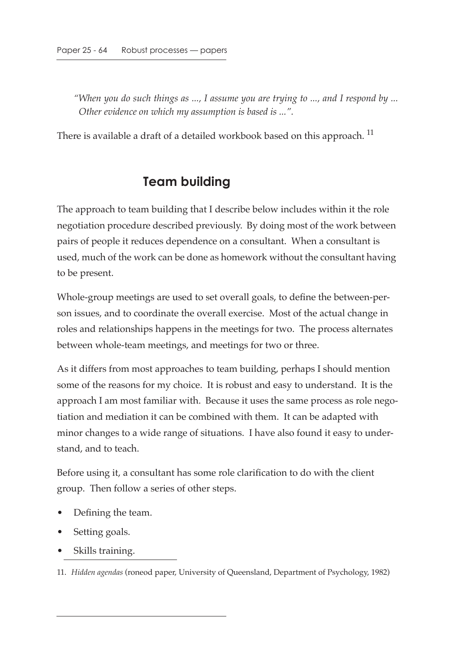*"When you do such things as ..., I assume you are trying to ..., and I respond by ... Other evidence on which my assumption is based is ...".*

There is available a draft of a detailed workbook based on this approach.<sup>11</sup>

# **Team building**

The approach to team building that I describe below includes within it the role negotiation procedure described previously. By doing most of the work between pairs of people it reduces dependence on a consultant. When a consultant is used, much of the work can be done as homework without the consultant having to be present.

Whole-group meetings are used to set overall goals, to define the between-person issues, and to coordinate the overall exercise. Most of the actual change in roles and relationships happens in the meetings for two. The process alternates between whole-team meetings, and meetings for two or three.

As it differs from most approaches to team building, perhaps I should mention some of the reasons for my choice. It is robust and easy to understand. It is the approach I am most familiar with. Because it uses the same process as role negotiation and mediation it can be combined with them. It can be adapted with minor changes to a wide range of situations. I have also found it easy to understand, and to teach.

Before using it, a consultant has some role clarification to do with the client group. Then follow a series of other steps.

- Defining the team.
- Setting goals.
- Skills training.

11. *Hidden agendas* (roneod paper, University of Queensland, Department of Psychology, 1982)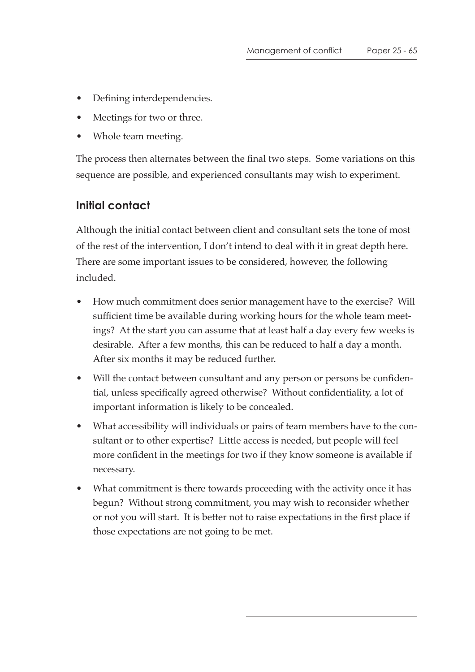- Defining interdependencies.
- Meetings for two or three.
- Whole team meeting.

The process then alternates between the final two steps. Some variations on this sequence are possible, and experienced consultants may wish to experiment.

## **Initial contact**

Although the initial contact between client and consultant sets the tone of most of the rest of the intervention, I don't intend to deal with it in great depth here. There are some important issues to be considered, however, the following included.

- How much commitment does senior management have to the exercise? Will sufficient time be available during working hours for the whole team meetings? At the start you can assume that at least half a day every few weeks is desirable. After a few months, this can be reduced to half a day a month. After six months it may be reduced further.
- Will the contact between consultant and any person or persons be confidential, unless specifically agreed otherwise? Without confidentiality, a lot of important information is likely to be concealed.
- What accessibility will individuals or pairs of team members have to the consultant or to other expertise? Little access is needed, but people will feel more confident in the meetings for two if they know someone is available if necessary.
- What commitment is there towards proceeding with the activity once it has begun? Without strong commitment, you may wish to reconsider whether or not you will start. It is better not to raise expectations in the first place if those expectations are not going to be met.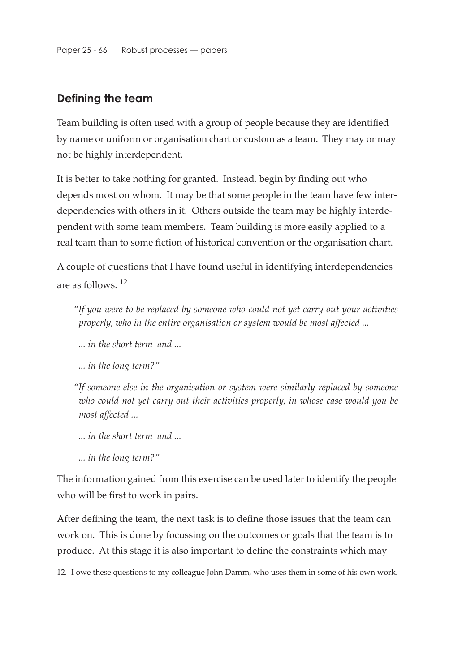## **Defining the team**

Team building is often used with a group of people because they are identified by name or uniform or organisation chart or custom as a team. They may or may not be highly interdependent.

It is better to take nothing for granted. Instead, begin by finding out who depends most on whom. It may be that some people in the team have few interdependencies with others in it. Others outside the team may be highly interdependent with some team members. Team building is more easily applied to a real team than to some fiction of historical convention or the organisation chart.

A couple of questions that I have found useful in identifying interdependencies are as follows. 12

*"If you were to be replaced by someone who could not yet carry out your activities properly, who in the entire organisation or system would be most affected ...*

 *... in the short term and ...*

 *... in the long term?"*

*"If someone else in the organisation or system were similarly replaced by someone who could not yet carry out their activities properly, in whose case would you be most affected ...*

 *... in the short term and ...*

 *... in the long term?"*

The information gained from this exercise can be used later to identify the people who will be first to work in pairs.

After defining the team, the next task is to define those issues that the team can work on. This is done by focussing on the outcomes or goals that the team is to produce. At this stage it is also important to define the constraints which may

12. I owe these questions to my colleague John Damm, who uses them in some of his own work.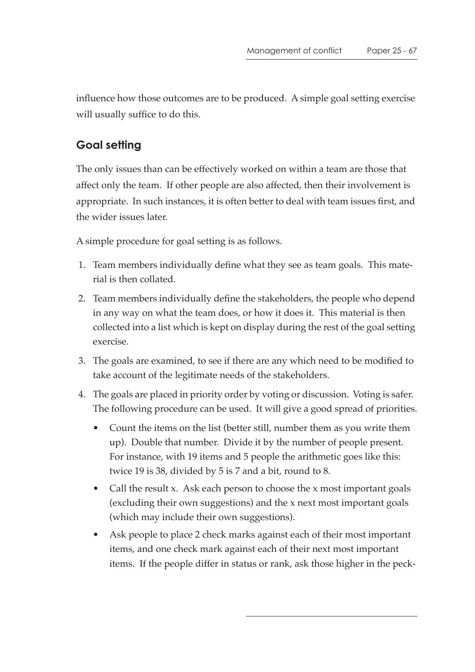influence how those outcomes are to be produced. A simple goal setting exercise will usually suffice to do this.

## **Goal setting**

The only issues than can be effectively worked on within a team are those that affect only the team. If other people are also affected, then their involvement is appropriate. In such instances, it is often better to deal with team issues first, and the wider issues later.

A simple procedure for goal setting is as follows.

- 1. Team members individually define what they see as team goals. This material is then collated.
- 2. Team members individually define the stakeholders, the people who depend in any way on what the team does, or how it does it. This material is then collected into a list which is kept on display during the rest of the goal setting exercise.
- 3. The goals are examined, to see if there are any which need to be modified to take account of the legitimate needs of the stakeholders.
- 4. The goals are placed in priority order by voting or discussion. Voting is safer. The following procedure can be used. It will give a good spread of priorities.
	- Count the items on the list (better still, number them as you write them up). Double that number. Divide it by the number of people present. For instance, with 19 items and 5 people the arithmetic goes like this: twice 19 is 38, divided by 5 is 7 and a bit, round to 8.
	- Call the result x. Ask each person to choose the x most important goals (excluding their own suggestions) and the x next most important goals (which may include their own suggestions).
	- Ask people to place 2 check marks against each of their most important items, and one check mark against each of their next most important items. If the people differ in status or rank, ask those higher in the peck-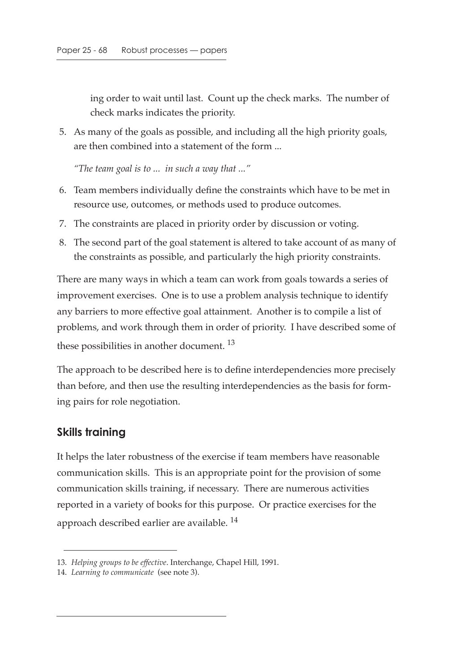ing order to wait until last. Count up the check marks. The number of check marks indicates the priority.

 5. As many of the goals as possible, and including all the high priority goals, are then combined into a statement of the form ...

*"The team goal is to ... in such a way that ..."*

- 6. Team members individually define the constraints which have to be met in resource use, outcomes, or methods used to produce outcomes.
- 7. The constraints are placed in priority order by discussion or voting.
- 8. The second part of the goal statement is altered to take account of as many of the constraints as possible, and particularly the high priority constraints.

There are many ways in which a team can work from goals towards a series of improvement exercises. One is to use a problem analysis technique to identify any barriers to more effective goal attainment. Another is to compile a list of problems, and work through them in order of priority. I have described some of these possibilities in another document.<sup>13</sup>

The approach to be described here is to define interdependencies more precisely than before, and then use the resulting interdependencies as the basis for forming pairs for role negotiation.

#### **Skills training**

It helps the later robustness of the exercise if team members have reasonable communication skills. This is an appropriate point for the provision of some communication skills training, if necessary. There are numerous activities reported in a variety of books for this purpose. Or practice exercises for the approach described earlier are available.<sup>14</sup>

<sup>13.</sup> *Helping groups to be effective*. Interchange, Chapel Hill, 1991.

<sup>14.</sup> *Learning to communicate* (see note 3).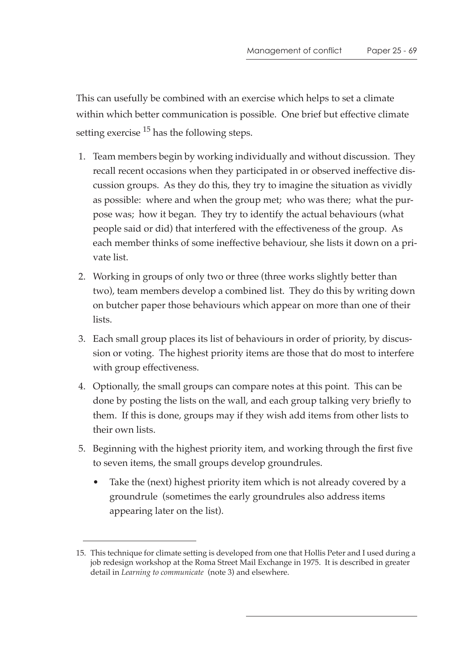This can usefully be combined with an exercise which helps to set a climate within which better communication is possible. One brief but effective climate setting exercise  $15$  has the following steps.

- 1. Team members begin by working individually and without discussion. They recall recent occasions when they participated in or observed ineffective discussion groups. As they do this, they try to imagine the situation as vividly as possible: where and when the group met; who was there; what the purpose was; how it began. They try to identify the actual behaviours (what people said or did) that interfered with the effectiveness of the group. As each member thinks of some ineffective behaviour, she lists it down on a private list.
- 2. Working in groups of only two or three (three works slightly better than two), team members develop a combined list. They do this by writing down on butcher paper those behaviours which appear on more than one of their lists.
- 3. Each small group places its list of behaviours in order of priority, by discussion or voting. The highest priority items are those that do most to interfere with group effectiveness.
- 4. Optionally, the small groups can compare notes at this point. This can be done by posting the lists on the wall, and each group talking very briefly to them. If this is done, groups may if they wish add items from other lists to their own lists.
- 5. Beginning with the highest priority item, and working through the first five to seven items, the small groups develop groundrules.
	- Take the (next) highest priority item which is not already covered by a groundrule (sometimes the early groundrules also address items appearing later on the list).

<sup>15.</sup> This technique for climate setting is developed from one that Hollis Peter and I used during a job redesign workshop at the Roma Street Mail Exchange in 1975. It is described in greater detail in *Learning to communicate* (note 3) and elsewhere.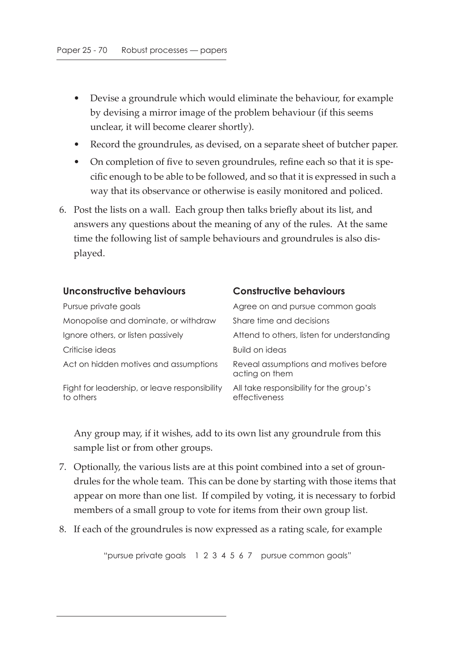- Devise a groundrule which would eliminate the behaviour, for example by devising a mirror image of the problem behaviour (if this seems unclear, it will become clearer shortly).
- Record the groundrules, as devised, on a separate sheet of butcher paper.
- On completion of five to seven groundrules, refine each so that it is specific enough to be able to be followed, and so that it is expressed in such a way that its observance or otherwise is easily monitored and policed.
- 6. Post the lists on a wall. Each group then talks briefly about its list, and answers any questions about the meaning of any of the rules. At the same time the following list of sample behaviours and groundrules is also displayed.

| Unconstructive behaviours                                  | <b>Constructive behaviours</b>                           |
|------------------------------------------------------------|----------------------------------------------------------|
| Pursue private goals                                       | Agree on and pursue common goals                         |
| Monopolise and dominate, or withdraw                       | Share time and decisions                                 |
| Ignore others, or listen passively                         | Attend to others, listen for understanding               |
| Criticise ideas                                            | Build on ideas                                           |
| Act on hidden motives and assumptions                      | Reveal assumptions and motives before<br>acting on them  |
| Fight for leadership, or leave responsibility<br>to others | All take responsibility for the group's<br>effectiveness |

Any group may, if it wishes, add to its own list any groundrule from this sample list or from other groups.

- 7. Optionally, the various lists are at this point combined into a set of groundrules for the whole team. This can be done by starting with those items that appear on more than one list. If compiled by voting, it is necessary to forbid members of a small group to vote for items from their own group list.
- 8. If each of the groundrules is now expressed as a rating scale, for example

"pursue private goals 1 2 3 4 5 6 7 pursue common goals"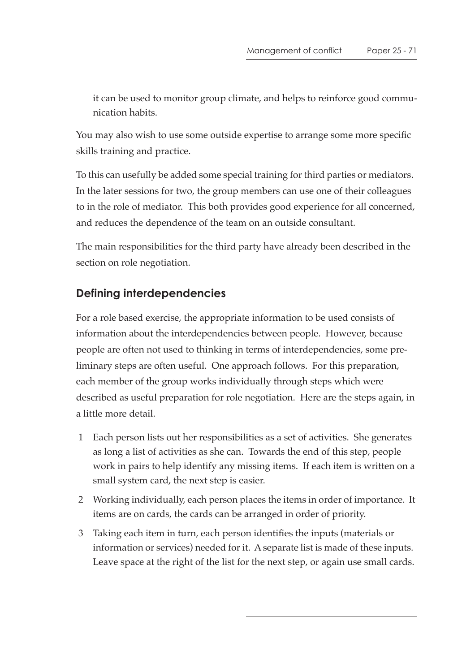it can be used to monitor group climate, and helps to reinforce good communication habits.

You may also wish to use some outside expertise to arrange some more specific skills training and practice.

To this can usefully be added some special training for third parties or mediators. In the later sessions for two, the group members can use one of their colleagues to in the role of mediator. This both provides good experience for all concerned, and reduces the dependence of the team on an outside consultant.

The main responsibilities for the third party have already been described in the section on role negotiation.

# **Defining interdependencies**

For a role based exercise, the appropriate information to be used consists of information about the interdependencies between people. However, because people are often not used to thinking in terms of interdependencies, some preliminary steps are often useful. One approach follows. For this preparation, each member of the group works individually through steps which were described as useful preparation for role negotiation. Here are the steps again, in a little more detail.

- 1 Each person lists out her responsibilities as a set of activities. She generates as long a list of activities as she can. Towards the end of this step, people work in pairs to help identify any missing items. If each item is written on a small system card, the next step is easier.
- 2 Working individually, each person places the items in order of importance. It items are on cards, the cards can be arranged in order of priority.
- 3 Taking each item in turn, each person identifies the inputs (materials or information or services) needed for it. A separate list is made of these inputs. Leave space at the right of the list for the next step, or again use small cards.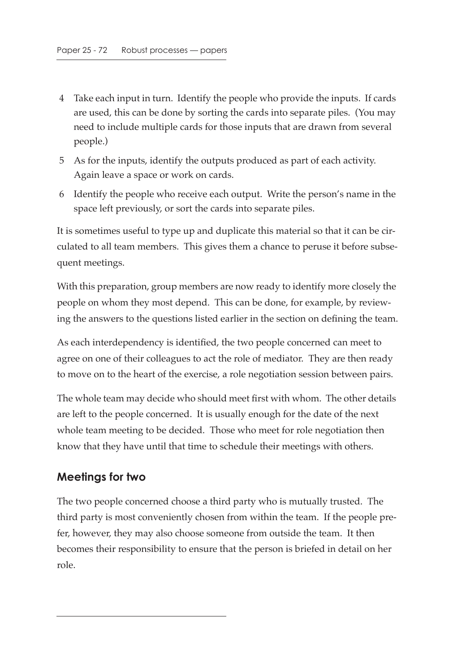- 4 Take each input in turn. Identify the people who provide the inputs. If cards are used, this can be done by sorting the cards into separate piles. (You may need to include multiple cards for those inputs that are drawn from several people.)
- 5 As for the inputs, identify the outputs produced as part of each activity. Again leave a space or work on cards.
- 6 Identify the people who receive each output. Write the person's name in the space left previously, or sort the cards into separate piles.

It is sometimes useful to type up and duplicate this material so that it can be circulated to all team members. This gives them a chance to peruse it before subsequent meetings.

With this preparation, group members are now ready to identify more closely the people on whom they most depend. This can be done, for example, by reviewing the answers to the questions listed earlier in the section on defining the team.

As each interdependency is identified, the two people concerned can meet to agree on one of their colleagues to act the role of mediator. They are then ready to move on to the heart of the exercise, a role negotiation session between pairs.

The whole team may decide who should meet first with whom. The other details are left to the people concerned. It is usually enough for the date of the next whole team meeting to be decided. Those who meet for role negotiation then know that they have until that time to schedule their meetings with others.

#### **Meetings for two**

The two people concerned choose a third party who is mutually trusted. The third party is most conveniently chosen from within the team. If the people prefer, however, they may also choose someone from outside the team. It then becomes their responsibility to ensure that the person is briefed in detail on her role.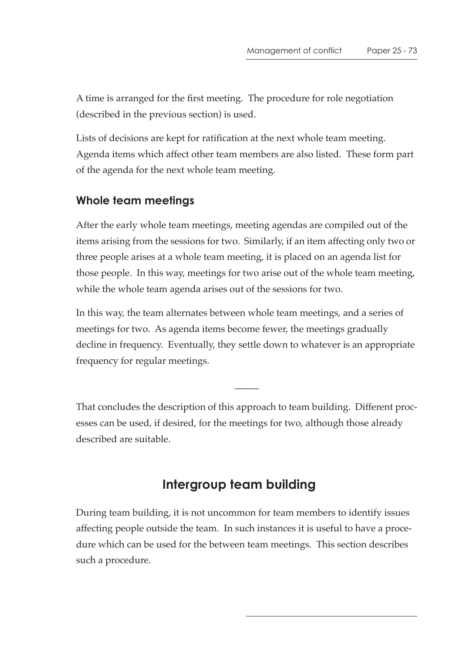A time is arranged for the first meeting. The procedure for role negotiation (described in the previous section) is used.

Lists of decisions are kept for ratification at the next whole team meeting. Agenda items which affect other team members are also listed. These form part of the agenda for the next whole team meeting.

### **Whole team meetings**

After the early whole team meetings, meeting agendas are compiled out of the items arising from the sessions for two. Similarly, if an item affecting only two or three people arises at a whole team meeting, it is placed on an agenda list for those people. In this way, meetings for two arise out of the whole team meeting, while the whole team agenda arises out of the sessions for two.

In this way, the team alternates between whole team meetings, and a series of meetings for two. As agenda items become fewer, the meetings gradually decline in frequency. Eventually, they settle down to whatever is an appropriate frequency for regular meetings.

That concludes the description of this approach to team building. Different processes can be used, if desired, for the meetings for two, although those already described are suitable.

 $\overline{\phantom{a}}$ 

# **Intergroup team building**

During team building, it is not uncommon for team members to identify issues affecting people outside the team. In such instances it is useful to have a procedure which can be used for the between team meetings. This section describes such a procedure.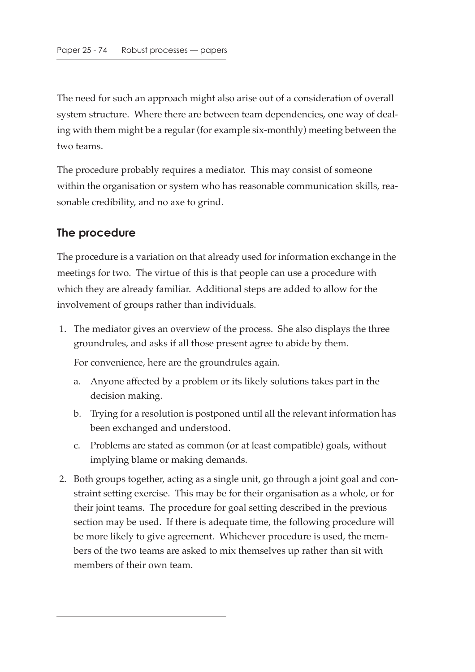The need for such an approach might also arise out of a consideration of overall system structure. Where there are between team dependencies, one way of dealing with them might be a regular (for example six-monthly) meeting between the two teams.

The procedure probably requires a mediator. This may consist of someone within the organisation or system who has reasonable communication skills, reasonable credibility, and no axe to grind.

### **The procedure**

The procedure is a variation on that already used for information exchange in the meetings for two. The virtue of this is that people can use a procedure with which they are already familiar. Additional steps are added to allow for the involvement of groups rather than individuals.

 1. The mediator gives an overview of the process. She also displays the three groundrules, and asks if all those present agree to abide by them.

For convenience, here are the groundrules again.

- a. Anyone affected by a problem or its likely solutions takes part in the decision making.
- b. Trying for a resolution is postponed until all the relevant information has been exchanged and understood.
- c. Problems are stated as common (or at least compatible) goals, without implying blame or making demands.
- 2. Both groups together, acting as a single unit, go through a joint goal and constraint setting exercise. This may be for their organisation as a whole, or for their joint teams. The procedure for goal setting described in the previous section may be used. If there is adequate time, the following procedure will be more likely to give agreement. Whichever procedure is used, the members of the two teams are asked to mix themselves up rather than sit with members of their own team.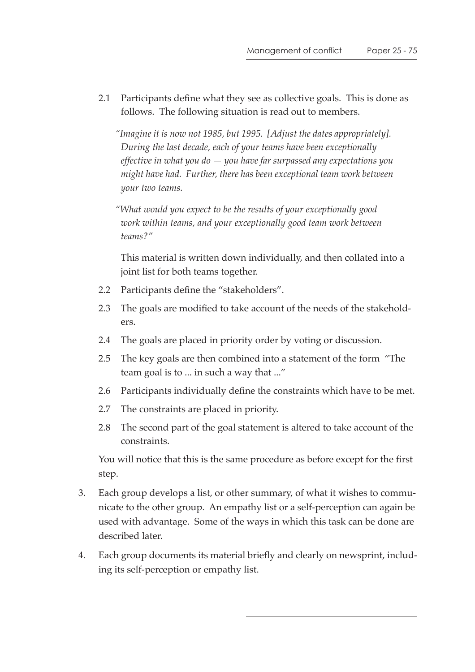2.1 Participants define what they see as collective goals. This is done as follows. The following situation is read out to members.

*"Imagine it is now not 1985, but 1995. [Adjust the dates appropriately]. During the last decade, each of your teams have been exceptionally effective in what you do — you have far surpassed any expectations you might have had. Further, there has been exceptional team work between your two teams.*

*"What would you expect to be the results of your exceptionally good work within teams, and your exceptionally good team work between teams?"*

This material is written down individually, and then collated into a joint list for both teams together.

- 2.2 Participants define the "stakeholders".
- 2.3 The goals are modified to take account of the needs of the stakeholders.
- 2.4 The goals are placed in priority order by voting or discussion.
- 2.5 The key goals are then combined into a statement of the form "The team goal is to ... in such a way that ..."
- 2.6 Participants individually define the constraints which have to be met.
- 2.7 The constraints are placed in priority.
- 2.8 The second part of the goal statement is altered to take account of the constraints.

You will notice that this is the same procedure as before except for the first step.

- 3. Each group develops a list, or other summary, of what it wishes to communicate to the other group. An empathy list or a self-perception can again be used with advantage. Some of the ways in which this task can be done are described later.
- 4. Each group documents its material briefly and clearly on newsprint, including its self-perception or empathy list.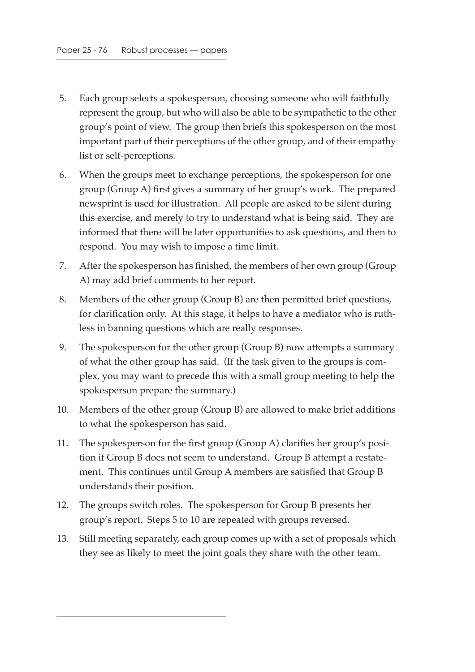- 5. Each group selects a spokesperson, choosing someone who will faithfully represent the group, but who will also be able to be sympathetic to the other group's point of view. The group then briefs this spokesperson on the most important part of their perceptions of the other group, and of their empathy list or self-perceptions.
- 6. When the groups meet to exchange perceptions, the spokesperson for one group (Group A) first gives a summary of her group's work. The prepared newsprint is used for illustration. All people are asked to be silent during this exercise, and merely to try to understand what is being said. They are informed that there will be later opportunities to ask questions, and then to respond. You may wish to impose a time limit.
- 7. After the spokesperson has finished, the members of her own group (Group A) may add brief comments to her report.
- 8. Members of the other group (Group B) are then permitted brief questions, for clarification only. At this stage, it helps to have a mediator who is ruthless in banning questions which are really responses.
- 9. The spokesperson for the other group (Group B) now attempts a summary of what the other group has said. (If the task given to the groups is complex, you may want to precede this with a small group meeting to help the spokesperson prepare the summary.)
- 10. Members of the other group (Group B) are allowed to make brief additions to what the spokesperson has said.
- 11. The spokesperson for the first group (Group A) clarifies her group's position if Group B does not seem to understand. Group B attempt a restatement. This continues until Group A members are satisfied that Group B understands their position.
- 12. The groups switch roles. The spokesperson for Group B presents her group's report. Steps 5 to 10 are repeated with groups reversed.
- 13. Still meeting separately, each group comes up with a set of proposals which they see as likely to meet the joint goals they share with the other team.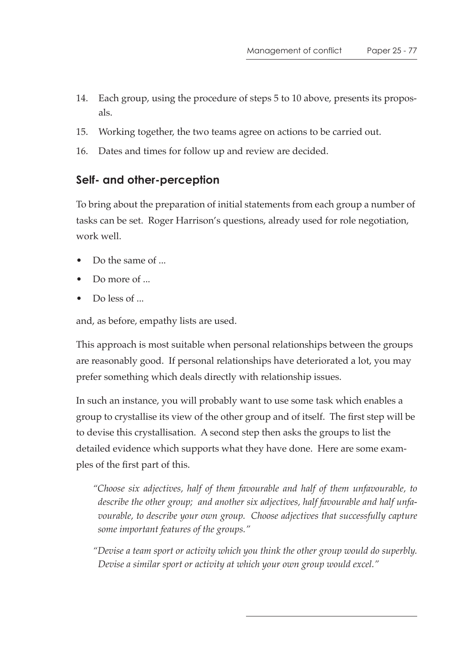- 14. Each group, using the procedure of steps 5 to 10 above, presents its proposals.
- 15. Working together, the two teams agree on actions to be carried out.
- 16. Dates and times for follow up and review are decided.

### **Self- and other-perception**

To bring about the preparation of initial statements from each group a number of tasks can be set. Roger Harrison's questions, already used for role negotiation, work well.

- Do the same of ...
- Do more of ...
- Do less of ...

and, as before, empathy lists are used.

This approach is most suitable when personal relationships between the groups are reasonably good. If personal relationships have deteriorated a lot, you may prefer something which deals directly with relationship issues.

In such an instance, you will probably want to use some task which enables a group to crystallise its view of the other group and of itself. The first step will be to devise this crystallisation. A second step then asks the groups to list the detailed evidence which supports what they have done. Here are some examples of the first part of this.

*"Choose six adjectives, half of them favourable and half of them unfavourable, to describe the other group; and another six adjectives, half favourable and half unfavourable, to describe your own group. Choose adjectives that successfully capture some important features of the groups."*

*"Devise a team sport or activity which you think the other group would do superbly. Devise a similar sport or activity at which your own group would excel."*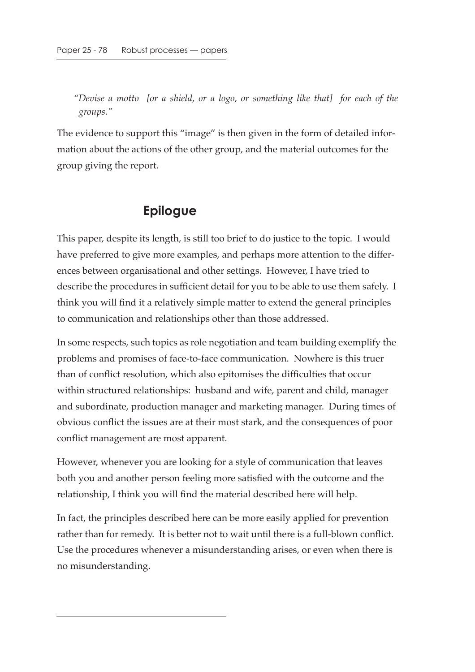*"Devise a motto [or a shield, or a logo, or something like that] for each of the groups."*

The evidence to support this "image" is then given in the form of detailed information about the actions of the other group, and the material outcomes for the group giving the report.

## **Epilogue**

This paper, despite its length, is still too brief to do justice to the topic. I would have preferred to give more examples, and perhaps more attention to the differences between organisational and other settings. However, I have tried to describe the procedures in sufficient detail for you to be able to use them safely. I think you will find it a relatively simple matter to extend the general principles to communication and relationships other than those addressed.

In some respects, such topics as role negotiation and team building exemplify the problems and promises of face-to-face communication. Nowhere is this truer than of conflict resolution, which also epitomises the difficulties that occur within structured relationships: husband and wife, parent and child, manager and subordinate, production manager and marketing manager. During times of obvious conflict the issues are at their most stark, and the consequences of poor conflict management are most apparent.

However, whenever you are looking for a style of communication that leaves both you and another person feeling more satisfied with the outcome and the relationship, I think you will find the material described here will help.

In fact, the principles described here can be more easily applied for prevention rather than for remedy. It is better not to wait until there is a full-blown conflict. Use the procedures whenever a misunderstanding arises, or even when there is no misunderstanding.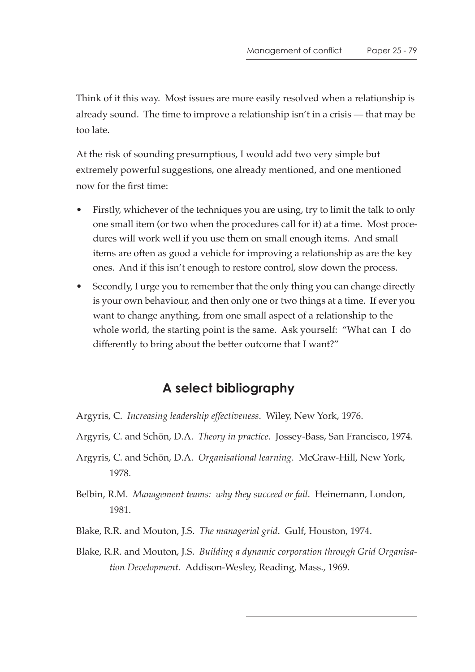Think of it this way. Most issues are more easily resolved when a relationship is already sound. The time to improve a relationship isn't in a crisis — that may be too late.

At the risk of sounding presumptious, I would add two very simple but extremely powerful suggestions, one already mentioned, and one mentioned now for the first time:

- Firstly, whichever of the techniques you are using, try to limit the talk to only one small item (or two when the procedures call for it) at a time. Most procedures will work well if you use them on small enough items. And small items are often as good a vehicle for improving a relationship as are the key ones. And if this isn't enough to restore control, slow down the process.
- Secondly, I urge you to remember that the only thing you can change directly is your own behaviour, and then only one or two things at a time. If ever you want to change anything, from one small aspect of a relationship to the whole world, the starting point is the same. Ask yourself: "What can I do differently to bring about the better outcome that I want?"

# **A select bibliography**

- Argyris, C. *Increasing leadership effectiveness*. Wiley, New York, 1976.
- Argyris, C. and Schön, D.A. *Theory in practice*. Jossey-Bass, San Francisco, 1974.
- Argyris, C. and Schön, D.A. *Organisational learning*. McGraw-Hill, New York, 1978.
- Belbin, R.M. *Management teams: why they succeed or fail*. Heinemann, London, 1981.
- Blake, R.R. and Mouton, J.S. *The managerial grid*. Gulf, Houston, 1974.
- Blake, R.R. and Mouton, J.S. *Building a dynamic corporation through Grid Organisation Development*. Addison-Wesley, Reading, Mass., 1969.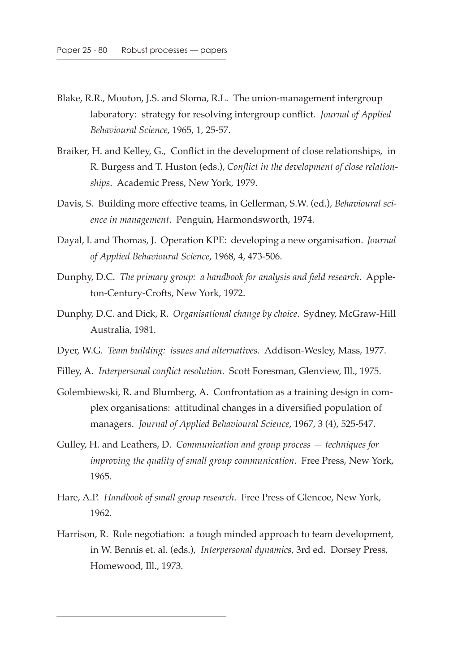- Blake, R.R., Mouton, J.S. and Sloma, R.L. The union-management intergroup laboratory: strategy for resolving intergroup conflict. *Journal of Applied Behavioural Science*, 1965, 1, 25-57.
- Braiker, H. and Kelley, G., Conflict in the development of close relationships, in R. Burgess and T. Huston (eds.), *Conflict in the development of close relationships*. Academic Press, New York, 1979.
- Davis, S. Building more effective teams, in Gellerman, S.W. (ed.), *Behavioural science in management*. Penguin, Harmondsworth, 1974.
- Dayal, I. and Thomas, J. Operation KPE: developing a new organisation. *Journal of Applied Behavioural Science*, 1968, 4, 473-506.
- Dunphy, D.C. *The primary group: a handbook for analysis and field research*. Appleton-Century-Crofts, New York, 1972.
- Dunphy, D.C. and Dick, R. *Organisational change by choice*. Sydney, McGraw-Hill Australia, 1981.
- Dyer, W.G. *Team building: issues and alternatives*. Addison-Wesley, Mass, 1977.
- Filley, A. *Interpersonal conflict resolution*. Scott Foresman, Glenview, Ill., 1975.
- Golembiewski, R. and Blumberg, A. Confrontation as a training design in complex organisations: attitudinal changes in a diversified population of managers. *Journal of Applied Behavioural Science*, 1967, 3 (4), 525-547.
- Gulley, H. and Leathers, D. *Communication and group process techniques for improving the quality of small group communication*. Free Press, New York, 1965.
- Hare, A.P. *Handbook of small group research*. Free Press of Glencoe, New York, 1962.
- Harrison, R. Role negotiation: a tough minded approach to team development, in W. Bennis et. al. (eds.), *Interpersonal dynamics*, 3rd ed. Dorsey Press, Homewood, Ill., 1973.